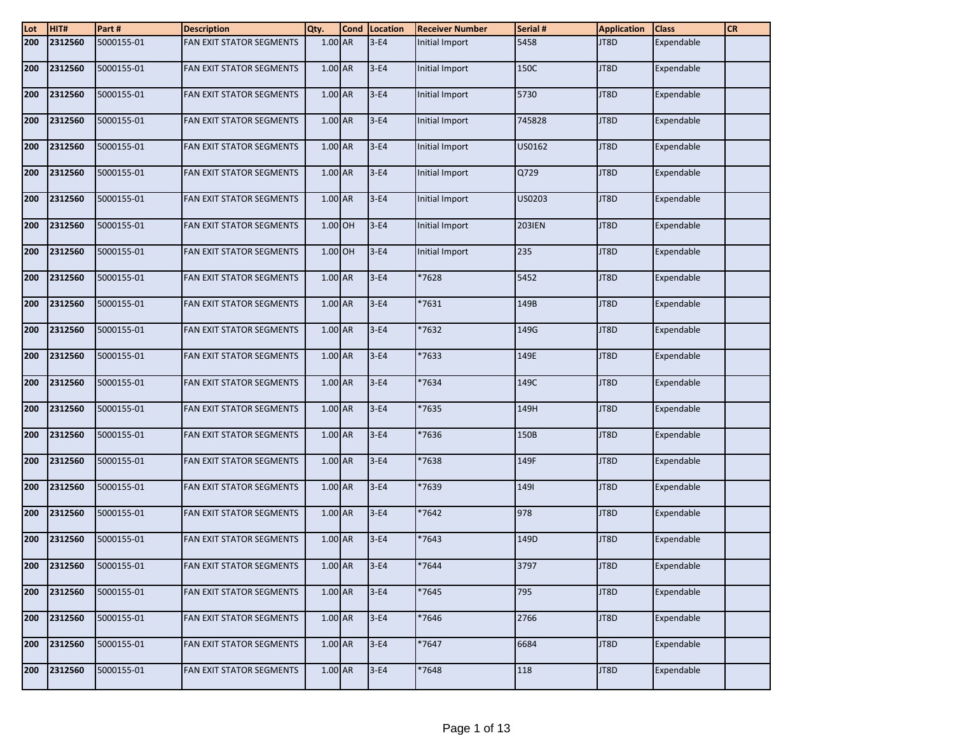| $\frac{\text{Lot}}{\text{200}}$ | HIT#        | Part#      | <b>Description</b>              | Qty.      | Cond Location | <b>Receiver Number</b> | Serial # | <b>Application</b> | <b>Class</b> | <b>CR</b> |
|---------------------------------|-------------|------------|---------------------------------|-----------|---------------|------------------------|----------|--------------------|--------------|-----------|
|                                 | 2312560     | 5000155-01 | FAN EXIT STATOR SEGMENTS        | $1.00$ AR | $3-E4$        | Initial Import         | 5458     | JT8D               | Expendable   |           |
| 200                             | 2312560     | 5000155-01 | FAN EXIT STATOR SEGMENTS        | 1.00 AR   | $3-E4$        | Initial Import         | 150C     | JT8D               | Expendable   |           |
| 200                             | 2312560     | 5000155-01 | FAN EXIT STATOR SEGMENTS        | 1.00 AR   | $3-E4$        | Initial Import         | 5730     | JT8D               | Expendable   |           |
| 200                             | 2312560     | 5000155-01 | FAN EXIT STATOR SEGMENTS        | 1.00 AR   | $3-E4$        | Initial Import         | 745828   | JT8D               | Expendable   |           |
| 200                             | 2312560     | 5000155-01 | FAN EXIT STATOR SEGMENTS        | 1.00 AR   | $3-E4$        | Initial Import         | US0162   | JT8D               | Expendable   |           |
| 200                             | 2312560     | 5000155-01 | FAN EXIT STATOR SEGMENTS        | $1.00$ AR | $3-E4$        | Initial Import         | Q729     | JT8D               | Expendable   |           |
| 200                             | 2312560     | 5000155-01 | FAN EXIT STATOR SEGMENTS        | $1.00$ AR | $3-E4$        | Initial Import         | US0203   | JT8D               | Expendable   |           |
| 200                             | 2312560     | 5000155-01 | FAN EXIT STATOR SEGMENTS        | $1.00$ OH | $3-E4$        | Initial Import         | 203IEN   | JT8D               | Expendable   |           |
| 200                             | 2312560     | 5000155-01 | <b>FAN EXIT STATOR SEGMENTS</b> | $1.00$ OH | $3-E4$        | Initial Import         | 235      | JT8D               | Expendable   |           |
| 200                             | 2312560     | 5000155-01 | FAN EXIT STATOR SEGMENTS        | 1.00 AR   | $3-E4$        | *7628                  | 5452     | JT8D               | Expendable   |           |
| 200                             | 2312560     | 5000155-01 | FAN EXIT STATOR SEGMENTS        | 1.00 AR   | $3-E4$        | $*7631$                | 149B     | JT8D               | Expendable   |           |
| 200                             | 2312560     | 5000155-01 | FAN EXIT STATOR SEGMENTS        | 1.00 AR   | $3-E4$        | *7632                  | 149G     | JT8D               | Expendable   |           |
| 200                             | 2312560     | 5000155-01 | FAN EXIT STATOR SEGMENTS        | 1.00 AR   | $3-E4$        | *7633                  | 149E     | JT8D               | Expendable   |           |
| 200                             | 2312560     | 5000155-01 | <b>FAN EXIT STATOR SEGMENTS</b> | 1.00 AR   | $3-E4$        | *7634                  | 149C     | JT8D               | Expendable   |           |
| 200                             | 2312560     | 5000155-01 | FAN EXIT STATOR SEGMENTS        | 1.00 AR   | $3-E4$        | *7635                  | 149H     | JT8D               | Expendable   |           |
| 200                             | 2312560     | 5000155-01 | FAN EXIT STATOR SEGMENTS        | 1.00 AR   | $3-E4$        | *7636                  | 150B     | JT8D               | Expendable   |           |
| 200                             | 2312560     | 5000155-01 | FAN EXIT STATOR SEGMENTS        | 1.00 AR   | $3-E4$        | 7638                   | 149F     | JT8D               | Expendable   |           |
| 200                             | 2312560     | 5000155-01 | FAN EXIT STATOR SEGMENTS        | 1.00 AR   | $3-E4$        | *7639                  | 1491     | JT8D               | Expendable   |           |
| 200                             | 2312560     | 5000155-01 | FAN EXIT STATOR SEGMENTS        | $1.00$ AR | $3-E4$        | *7642                  | 978      | JT8D               | Expendable   |           |
| 200                             | 2312560     | 5000155-01 | FAN EXIT STATOR SEGMENTS        | 1.00 AR   | $3-E4$        | 7643                   | 149D     | JT8D               | Expendable   |           |
|                                 | 200 2312560 | 5000155-01 | <b>FAN EXIT STATOR SEGMENTS</b> | 1.00 AR   | $ 3-E4 $      | *7644                  | 3797     | JT8D               | Expendable   |           |
| 200                             | 2312560     | 5000155-01 | <b>FAN EXIT STATOR SEGMENTS</b> | 1.00 AR   | $3-E4$        | *7645                  | 795      | JT8D               | Expendable   |           |
| 200                             | 2312560     | 5000155-01 | FAN EXIT STATOR SEGMENTS        | $1.00$ AR | $3-E4$        | *7646                  | 2766     | JT8D               | Expendable   |           |
| 200                             | 2312560     | 5000155-01 | FAN EXIT STATOR SEGMENTS        | 1.00 AR   | $3-E4$        | *7647                  | 6684     | JT8D               | Expendable   |           |
| 200                             | 2312560     | 5000155-01 | <b>FAN EXIT STATOR SEGMENTS</b> | $1.00$ AR | $3-E4$        | *7648                  | 118      | JT8D               | Expendable   |           |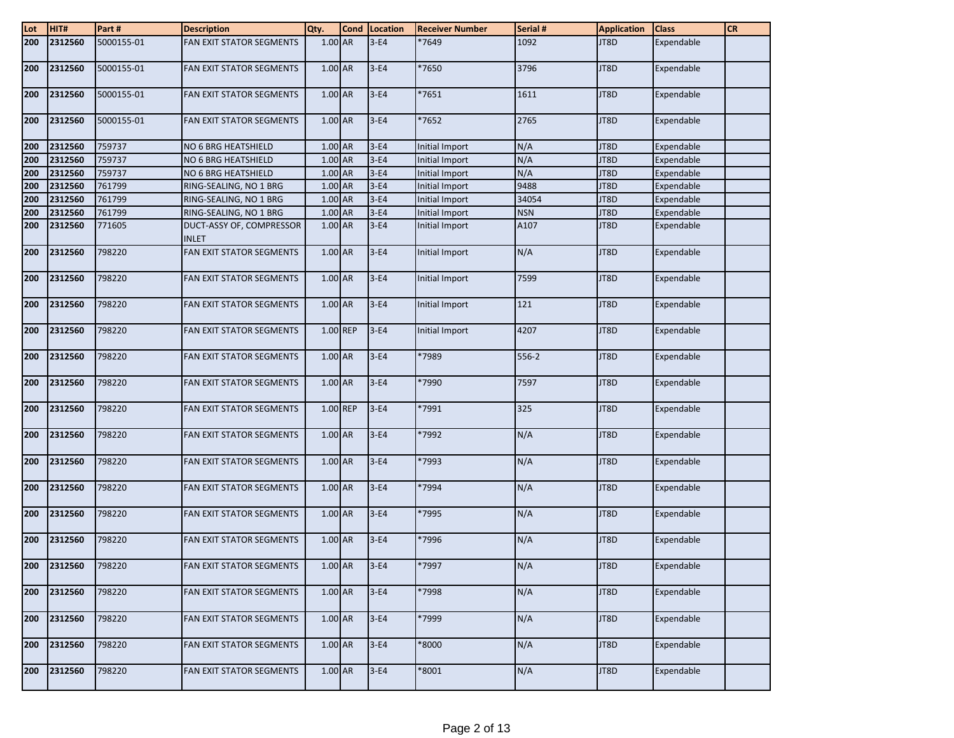| $\frac{\text{Lot}}{\text{200}}$ | HIT#    | Part#      | <b>Description</b>                       | Qty.      | <b>Cond</b> | Location | <b>Receiver Number</b> | Serial #   | <b>Application</b> | <b>Class</b> | <b>CR</b> |
|---------------------------------|---------|------------|------------------------------------------|-----------|-------------|----------|------------------------|------------|--------------------|--------------|-----------|
|                                 | 2312560 | 5000155-01 | FAN EXIT STATOR SEGMENTS                 | 1.00 AR   |             | $3-E4$   | *7649                  | 1092       | JT8D               | Expendable   |           |
| 200                             | 2312560 | 5000155-01 | FAN EXIT STATOR SEGMENTS                 | $1.00$ AR |             | $3-E4$   | *7650                  | 3796       | JT8D               | Expendable   |           |
| 200                             | 2312560 | 5000155-01 | <b>FAN EXIT STATOR SEGMENTS</b>          | 1.00 AR   |             | $3-E4$   | *7651                  | 1611       | JT8D               | Expendable   |           |
| 200                             | 2312560 | 5000155-01 | <b>FAN EXIT STATOR SEGMENTS</b>          | $1.00$ AR |             | $3-E4$   | *7652                  | 2765       | JT8D               | Expendable   |           |
| 200                             | 2312560 | 759737     | NO 6 BRG HEATSHIELD                      | 1.00 AR   |             | $3-E4$   | Initial Import         | N/A        | JT8D               | Expendable   |           |
| 200                             | 2312560 | 759737     | NO 6 BRG HEATSHIELD                      | 1.00 AR   |             | $3-E4$   | Initial Import         | N/A        | JT8D               | Expendable   |           |
| 200                             | 2312560 | 759737     | NO 6 BRG HEATSHIELD                      | 1.00 AR   |             | $3-E4$   | Initial Import         | N/A        | JT8D               | Expendable   |           |
| 200                             | 2312560 | 761799     | RING-SEALING, NO 1 BRG                   | 1.00 AR   |             | $3-E4$   | Initial Import         | 9488       | JT8D               | Expendable   |           |
| 200                             | 2312560 | 761799     | RING-SEALING, NO 1 BRG                   | 1.00 AR   |             | $3-E4$   | <b>Initial Import</b>  | 34054      | JT8D               | Expendable   |           |
| 200                             | 2312560 | 761799     | RING-SEALING, NO 1 BRG                   | 1.00 AR   |             | $3-E4$   | Initial Import         | <b>NSN</b> | JT8D               | Expendable   |           |
| 200                             | 2312560 | 771605     | DUCT-ASSY OF, COMPRESSOR<br><b>INLET</b> | 1.00 AR   |             | $3-E4$   | Initial Import         | A107       | JT8D               | Expendable   |           |
| 200                             | 2312560 | 798220     | FAN EXIT STATOR SEGMENTS                 | $1.00$ AR |             | $3-E4$   | Initial Import         | N/A        | JT8D               | Expendable   |           |
| 200                             | 2312560 | 798220     | FAN EXIT STATOR SEGMENTS                 | 1.00 AR   |             | $3-E4$   | Initial Import         | 7599       | JT8D               | Expendable   |           |
| 200                             | 2312560 | 798220     | FAN EXIT STATOR SEGMENTS                 | 1.00 AR   |             | $3-E4$   | Initial Import         | 121        | JT8D               | Expendable   |           |
| 200                             | 2312560 | 798220     | FAN EXIT STATOR SEGMENTS                 | 1.00 REP  |             | $3-E4$   | Initial Import         | 4207       | JT8D               | Expendable   |           |
| 200                             | 2312560 | 798220     | <b>FAN EXIT STATOR SEGMENTS</b>          | 1.00 AR   |             | $3-E4$   | 7989*                  | $556-2$    | JT8D               | Expendable   |           |
| 200                             | 2312560 | 798220     | FAN EXIT STATOR SEGMENTS                 | 1.00 AR   |             | $3-E4$   | *7990                  | 7597       | JT8D               | Expendable   |           |
| 200                             | 2312560 | 798220     | <b>FAN EXIT STATOR SEGMENTS</b>          | 1.00 REP  |             | $3-E4$   | *7991                  | 325        | JT8D               | Expendable   |           |
| 200                             | 2312560 | 798220     | FAN EXIT STATOR SEGMENTS                 | 1.00 AR   |             | $3-E4$   | *7992                  | N/A        | JT8D               | Expendable   |           |
| 200                             | 2312560 | 798220     | FAN EXIT STATOR SEGMENTS                 | 1.00 AR   |             | $3-E4$   | *7993                  | N/A        | JT8D               | Expendable   |           |
| 200                             | 2312560 | 798220     | FAN EXIT STATOR SEGMENTS                 | 1.00 AR   |             | $3-E4$   | *7994                  | N/A        | JT8D               | Expendable   |           |
| 200                             | 2312560 | 798220     | FAN EXIT STATOR SEGMENTS                 | 1.00 AR   |             | $3-E4$   | *7995                  | N/A        | JT8D               | Expendable   |           |
| 200                             | 2312560 | 798220     | <b>FAN EXIT STATOR SEGMENTS</b>          | 1.00 AR   |             | $3-E4$   | *7996                  | N/A        | JT8D               | Expendable   |           |
| 200                             | 2312560 | 798220     | FAN EXIT STATOR SEGMENTS                 | 1.00 AR   |             | $3-E4$   | *7997                  | N/A        | JT8D               | Expendable   |           |
| 200                             | 2312560 | 798220     | FAN EXIT STATOR SEGMENTS                 | $1.00$ AR |             | $3-E4$   | *7998                  | N/A        | JT8D               | Expendable   |           |
| 200                             | 2312560 | 798220     | FAN EXIT STATOR SEGMENTS                 | 1.00 AR   |             | $3-E4$   | 7999*                  | N/A        | JT8D               | Expendable   |           |
| 200                             | 2312560 | 798220     | FAN EXIT STATOR SEGMENTS                 | 1.00 AR   |             | $3-E4$   | *8000                  | N/A        | JT8D               | Expendable   |           |
| 200                             | 2312560 | 798220     | FAN EXIT STATOR SEGMENTS                 | $1.00$ AR |             | $3-E4$   | $*8001$                | N/A        | JT8D               | Expendable   |           |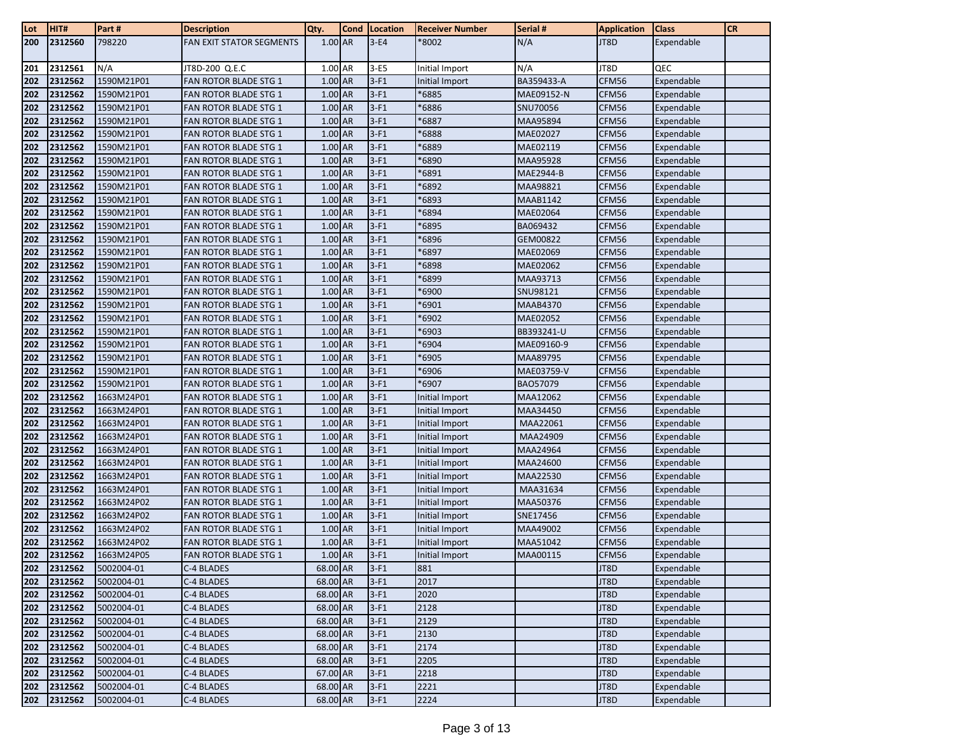| Lot | HIT#    | Part#      | <b>Description</b>           | Qty.      | <b>Cond</b> | Location | <b>Receiver Number</b> | Serial #        | <b>Application</b> | <b>Class</b> | <b>CR</b> |
|-----|---------|------------|------------------------------|-----------|-------------|----------|------------------------|-----------------|--------------------|--------------|-----------|
| 200 | 2312560 | 798220     | FAN EXIT STATOR SEGMENTS     | $1.00$ AR |             | $3-E4$   | *8002                  | N/A             | JT8D               | Expendable   |           |
|     |         |            |                              |           |             |          |                        |                 |                    |              |           |
| 201 | 2312561 | N/A        | JT8D-200 Q.E.C               | 1.00 AR   |             | $3-E5$   | Initial Import         | N/A             | JT8D               | QEC          |           |
| 202 | 2312562 | 1590M21P01 | FAN ROTOR BLADE STG 1        | 1.00 AR   |             | $3-F1$   | Initial Import         | BA359433-A      | CFM56              | Expendable   |           |
| 202 | 2312562 | 1590M21P01 | <b>FAN ROTOR BLADE STG 1</b> | 1.00 AR   |             | $3-F1$   | *6885                  | MAE09152-N      | CFM56              | Expendable   |           |
| 202 | 2312562 | 1590M21P01 | <b>FAN ROTOR BLADE STG 1</b> | 1.00 AR   |             | $3-F1$   | 6886                   | SNU70056        | CFM56              | Expendable   |           |
| 202 | 2312562 | 1590M21P01 | <b>FAN ROTOR BLADE STG 1</b> | 1.00 AR   |             | $3-F1$   | 6887                   | MAA95894        | CFM56              | Expendable   |           |
| 202 | 2312562 | 1590M21P01 | <b>FAN ROTOR BLADE STG 1</b> | 1.00 AR   |             | $3-F1$   | 6888                   | MAE02027        | CFM56              | Expendable   |           |
| 202 | 2312562 | 1590M21P01 | <b>FAN ROTOR BLADE STG 1</b> | 1.00 AR   |             | $3-F1$   | 6889                   | MAE02119        | CFM56              | Expendable   |           |
| 202 | 2312562 | 1590M21P01 | <b>FAN ROTOR BLADE STG 1</b> | 1.00 AR   |             | $3-F1$   | 6890                   | MAA95928        | CFM56              | Expendable   |           |
| 202 | 2312562 | 1590M21P01 | <b>FAN ROTOR BLADE STG 1</b> | 1.00 AR   |             | $3-F1$   | 6891                   | MAE2944-B       | CFM56              | Expendable   |           |
| 202 | 2312562 | 1590M21P01 | <b>FAN ROTOR BLADE STG 1</b> | 1.00 AR   |             | $3-F1$   | 6892                   | MAA98821        | CFM56              | Expendable   |           |
| 202 | 2312562 | 1590M21P01 | <b>FAN ROTOR BLADE STG 1</b> | 1.00 AR   |             | $3-F1$   | 6893                   | <b>MAAB1142</b> | CFM56              | Expendable   |           |
| 202 | 2312562 | 1590M21P01 | <b>FAN ROTOR BLADE STG 1</b> | 1.00 AR   |             | $3-F1$   | 6894                   | MAE02064        | CFM56              | Expendable   |           |
| 202 | 2312562 | 1590M21P01 | <b>FAN ROTOR BLADE STG 1</b> | 1.00 AR   |             | $3-F1$   | 6895                   | BA069432        | CFM56              | Expendable   |           |
| 202 | 2312562 | 1590M21P01 | <b>FAN ROTOR BLADE STG 1</b> | 1.00 AR   |             | $3-F1$   | 6896                   | GEM00822        | CFM56              | Expendable   |           |
| 202 | 2312562 | 1590M21P01 | <b>FAN ROTOR BLADE STG 1</b> | 1.00 AR   |             | $3-F1$   | 6897                   | MAE02069        | CFM56              | Expendable   |           |
| 202 | 2312562 | 1590M21P01 | <b>FAN ROTOR BLADE STG 1</b> | 1.00 AR   |             | $3-F1$   | 6898                   | MAE02062        | CFM56              | Expendable   |           |
| 202 | 2312562 | 1590M21P01 | <b>FAN ROTOR BLADE STG 1</b> | 1.00 AR   |             | $3-F1$   | 6899'                  | MAA93713        | CFM56              | Expendable   |           |
| 202 | 2312562 | 1590M21P01 | <b>FAN ROTOR BLADE STG 1</b> | 1.00 AR   |             | $3-F1$   | 6900                   | SNU98121        | CFM56              | Expendable   |           |
| 202 | 2312562 | 1590M21P01 | <b>FAN ROTOR BLADE STG 1</b> | 1.00 AR   |             | $3-F1$   | 6901                   | <b>MAAB4370</b> | CFM56              | Expendable   |           |
| 202 | 2312562 | 1590M21P01 | <b>FAN ROTOR BLADE STG 1</b> | 1.00 AR   |             | $3-F1$   | 6902                   | MAE02052        | CFM56              | Expendable   |           |
| 202 | 2312562 | 1590M21P01 | <b>FAN ROTOR BLADE STG 1</b> | 1.00 AR   |             | $3-F1$   | 6903                   | BB393241-U      | CFM56              | Expendable   |           |
| 202 | 2312562 | 1590M21P01 | <b>FAN ROTOR BLADE STG 1</b> | 1.00 AR   |             | $3-F1$   | *6904                  | MAE09160-9      | CFM56              | Expendable   |           |
| 202 | 2312562 | 1590M21P01 | <b>FAN ROTOR BLADE STG 1</b> | 1.00 AR   |             | $3-F1$   | 6905                   | MAA89795        | CFM56              | Expendable   |           |
| 202 | 2312562 | 1590M21P01 | <b>FAN ROTOR BLADE STG 1</b> | 1.00 AR   |             | $3-F1$   | *6906                  | MAE03759-V      | CFM56              | Expendable   |           |
| 202 | 2312562 | 1590M21P01 | <b>FAN ROTOR BLADE STG 1</b> | 1.00 AR   |             | $3-F1$   | 6907                   | BA057079        | CFM56              | Expendable   |           |
| 202 | 2312562 | 1663M24P01 | <b>FAN ROTOR BLADE STG 1</b> | 1.00 AR   |             | $3-F1$   | Initial Import         | MAA12062        | CFM56              | Expendable   |           |
| 202 | 2312562 | 1663M24P01 | <b>FAN ROTOR BLADE STG 1</b> | 1.00 AR   |             | $3-F1$   | Initial Import         | MAA34450        | CFM56              | Expendable   |           |
| 202 | 2312562 | 1663M24P01 | <b>FAN ROTOR BLADE STG 1</b> | 1.00 AR   |             | $3-F1$   | Initial Import         | MAA22061        | CFM56              | Expendable   |           |
| 202 | 2312562 | 1663M24P01 | <b>FAN ROTOR BLADE STG 1</b> | 1.00 AR   |             | $3-F1$   | Initial Import         | MAA24909        | CFM56              | Expendable   |           |
| 202 | 2312562 | 1663M24P01 | FAN ROTOR BLADE STG 1        | 1.00 AR   |             | $3-F1$   | Initial Import         | MAA24964        | CFM56              | Expendable   |           |
| 202 | 2312562 | 1663M24P01 | <b>FAN ROTOR BLADE STG 1</b> | 1.00 AR   |             | $3-F1$   | Initial Import         | MAA24600        | CFM56              | Expendable   |           |
| 202 | 2312562 | 1663M24P01 | <b>FAN ROTOR BLADE STG 1</b> | 1.00 AR   |             | $3-F1$   | Initial Import         | MAA22530        | CFM56              | Expendable   |           |
| 202 | 2312562 | 1663M24P01 | <b>FAN ROTOR BLADE STG 1</b> | 1.00 AR   |             | $3-F1$   | Initial Import         | MAA31634        | CFM56              | Expendable   |           |
| 202 | 2312562 | 1663M24P02 | <b>FAN ROTOR BLADE STG 1</b> | 1.00 AR   |             | $3-F1$   | Initial Import         | MAA50376        | CFM56              | Expendable   |           |
| 202 | 2312562 | 1663M24P02 | <b>FAN ROTOR BLADE STG 1</b> | 1.00 AR   |             | $3-F1$   | Initial Import         | SNE17456        | CFM56              | Expendable   |           |
| 202 | 2312562 | 1663M24P02 | <b>FAN ROTOR BLADE STG 1</b> | 1.00 AR   |             | $3-F1$   | Initial Import         | MAA49002        | CFM56              | Expendable   |           |
| 202 | 2312562 | 1663M24P02 | <b>FAN ROTOR BLADE STG 1</b> | 1.00 AR   |             | $3-F1$   | Initial Import         | MAA51042        | CFM56              | Expendable   |           |
| 202 | 2312562 | 1663M24P05 | <b>FAN ROTOR BLADE STG 1</b> | 1.00 AR   |             | $3-F1$   | Initial Import         | MAA00115        | CFM56              | Expendable   |           |
| 202 | 2312562 | 5002004-01 | C-4 BLADES                   | 68.00 AR  |             | $3-F1$   | 881                    |                 | JT8D               | Expendable   |           |
| 202 | 2312562 | 5002004-01 | C-4 BLADES                   | 68.00 AR  |             | $3-F1$   | 2017                   |                 | JT8D               | Expendable   |           |
| 202 | 2312562 | 5002004-01 | C-4 BLADES                   | 68.00 AR  |             | $3-F1$   | 2020                   |                 | JT8D               | Expendable   |           |
| 202 | 2312562 | 5002004-01 | C-4 BLADES                   | 68.00 AR  |             | $3-F1$   | 2128                   |                 | JT8D               | Expendable   |           |
| 202 | 2312562 | 5002004-01 | C-4 BLADES                   | 68.00 AR  |             | $3-F1$   | 2129                   |                 | JT8D               | Expendable   |           |
| 202 | 2312562 | 5002004-01 | C-4 BLADES                   | 68.00 AR  |             | $3-F1$   | 2130                   |                 | JT8D               | Expendable   |           |
| 202 | 2312562 | 5002004-01 | C-4 BLADES                   | 68.00 AR  |             | $3-F1$   | 2174                   |                 | JT8D               | Expendable   |           |
| 202 | 2312562 | 5002004-01 | C-4 BLADES                   | 68.00 AR  |             | $3-F1$   | 2205                   |                 | JT8D               | Expendable   |           |
| 202 | 2312562 | 5002004-01 | C-4 BLADES                   | 67.00 AR  |             | $3-F1$   | 2218                   |                 | JT8D               | Expendable   |           |
| 202 | 2312562 | 5002004-01 | C-4 BLADES                   | 68.00 AR  |             | $3-F1$   | 2221                   |                 | JT8D               | Expendable   |           |
| 202 | 2312562 | 5002004-01 | C-4 BLADES                   | 68.00 AR  |             | $3-F1$   | 2224                   |                 | JT8D               | Expendable   |           |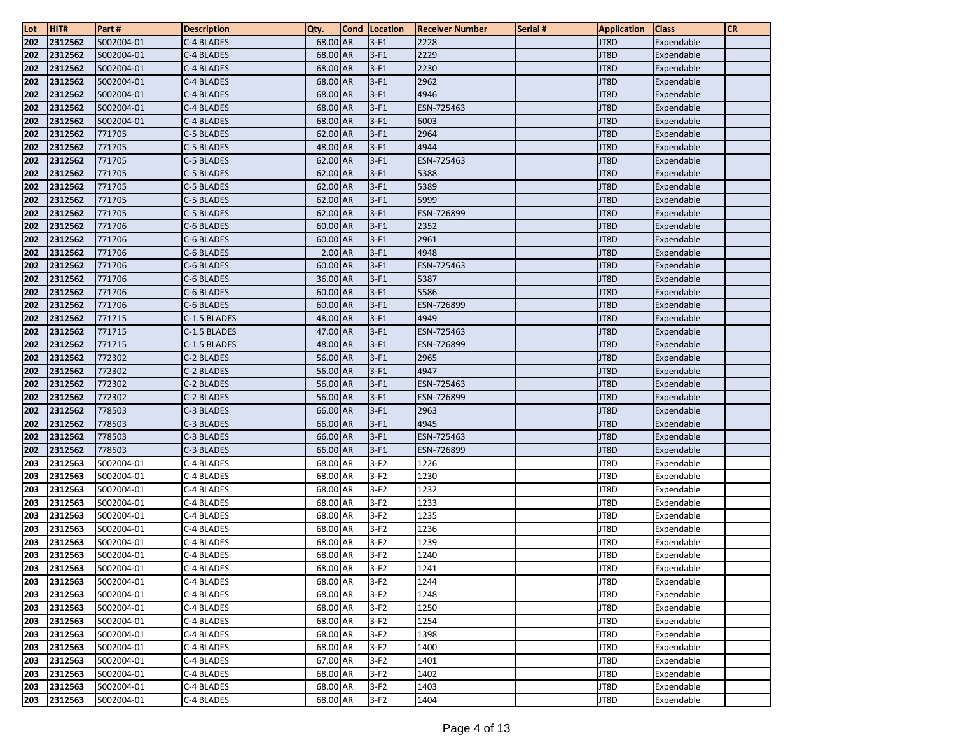| Lot        | HIT#               | Part#            | <b>Description</b>       | Qty.                 | <b>Cond</b> | Location         | <b>Receiver Number</b> | Serial # | <b>Application</b> | <b>Class</b>             | <b>CR</b> |
|------------|--------------------|------------------|--------------------------|----------------------|-------------|------------------|------------------------|----------|--------------------|--------------------------|-----------|
| 202        | 2312562            | 5002004-01       | C-4 BLADES               | 68.00 AR             |             | $3-F1$           | 2228                   |          | JT8D               | Expendable               |           |
| 202        | 2312562            | 5002004-01       | C-4 BLADES               | 68.00 AR             |             | $3-F1$           | 2229                   |          | JT8D               | Expendable               |           |
| 202        | 2312562            | 5002004-01       | C-4 BLADES               | 68.00 AR             |             | $3-F1$           | 2230                   |          | JT8D               | Expendable               |           |
| 202        | 2312562            | 5002004-01       | C-4 BLADES               | 68.00 AR             |             | $3-F1$           | 2962                   |          | JT8D               | Expendable               |           |
| 202        | 2312562            | 5002004-01       | C-4 BLADES               | 68.00 AR             |             | $3-F1$           | 4946                   |          | JT8D               | Expendable               |           |
| 202        | 2312562            | 5002004-01       | C-4 BLADES               | 68.00 AR             |             | $3-F1$           | ESN-725463             |          | JT8D               | Expendable               |           |
| 202        | 2312562            | 5002004-01       | C-4 BLADES               | 68.00 AR             |             | $3-F1$           | 6003                   |          | JT8D               | Expendable               |           |
| 202        | 2312562            | 771705           | C-5 BLADES               | 62.00 AR             |             | $3-F1$           | 2964                   |          | JT8D               | Expendable               |           |
| 202        | 2312562            | 771705           | C-5 BLADES               | 48.00 AR             |             | $3-F1$           | 4944                   |          | JT8D               | Expendable               |           |
| 202        | 2312562            | 771705           | C-5 BLADES               | 62.00 AR             |             | $3-F1$           | ESN-725463             |          | JT8D               | Expendable               |           |
| 202        | 2312562            | 771705           | C-5 BLADES               | 62.00 AR             |             | $3-F1$           | 5388                   |          | JT8D               | Expendable               |           |
| 202        | 2312562            | 771705           | C-5 BLADES               | 62.00 AR             |             | $3-F1$           | 5389                   |          | JT8D               | Expendable               |           |
| 202        | 2312562            | 771705           | C-5 BLADES               | 62.00 AR             |             | $3-F1$           | 5999                   |          | JT8D               | Expendable               |           |
| 202        | 2312562            | 771705           | C-5 BLADES               | 62.00 AR             |             | $3-F1$           | ESN-726899             |          | JT8D               | Expendable               |           |
| 202        | 2312562            | 771706           | C-6 BLADES               | 60.00 AR             |             | $3-F1$           | 2352                   |          | JT8D               | Expendable               |           |
| 202        | 2312562            | 771706           | C-6 BLADES               | 60.00 AR             |             | $3-F1$           | 2961                   |          | JT8D               | Expendable               |           |
| 202        | 2312562            | 771706           | C-6 BLADES               | $2.00$ AR            |             | $3-F1$           | 4948                   |          | JT8D               | Expendable               |           |
| 202        | 2312562            | 771706           | C-6 BLADES               | 60.00 AR             |             | $3-F1$           | ESN-725463             |          | JT8D               | Expendable               |           |
| 202        | 2312562            | 771706           | C-6 BLADES               | 36.00 AR             |             | $3-F1$           | 5387                   |          | JT8D               | Expendable               |           |
| 202        | 2312562            | 771706           | C-6 BLADES               | 60.00 AR             |             | $3-F1$           | 5586                   |          | JT8D               | Expendable               |           |
| 202        | 2312562            | 771706           | C-6 BLADES               | 60.00 AR             |             | $3-F1$           | ESN-726899             |          | JT8D               | Expendable               |           |
| 202        | 2312562            | 771715           | C-1.5 BLADES             | 48.00 AR             |             | $3-F1$           | 4949                   |          | JT8D               | Expendable               |           |
| 202        | 2312562            | 771715           | C-1.5 BLADES             | 47.00 AR             |             | $3-F1$           | ESN-725463             |          | JT8D               | Expendable               |           |
| 202        | 2312562            | 771715           | C-1.5 BLADES             | 48.00 AR             |             | $3-F1$           | ESN-726899             |          | JT8D               | Expendable               |           |
| 202        | 2312562            | 772302           | C-2 BLADES               | 56.00 AR             |             | $3-F1$           | 2965                   |          | JT8D               | Expendable               |           |
| 202        | 2312562            | 772302           | C-2 BLADES               | 56.00 AR             |             | $3-F1$           | 4947                   |          | JT8D               | Expendable               |           |
| 202        | 2312562            | 772302           | C-2 BLADES               | 56.00 AR             |             | $3-F1$           | ESN-725463             |          | JT8D               | Expendable               |           |
| 202        | 2312562            | 772302           | C-2 BLADES               | 56.00 AR             |             | $3-F1$           | ESN-726899             |          | JT8D               | Expendable               |           |
| 202        | 2312562            | 778503           | C-3 BLADES               | 66.00 AR             |             | $3-F1$           | 2963                   |          | JT8D               | Expendable               |           |
| 202<br>202 | 2312562            | 778503<br>778503 | C-3 BLADES               | 66.00 AR<br>66.00 AR |             | $3-F1$<br>$3-F1$ | 4945<br>ESN-725463     |          | JT8D<br>JT8D       | Expendable               |           |
| 202        | 2312562<br>2312562 | 778503           | C-3 BLADES<br>C-3 BLADES | 66.00 AR             |             | $3-F1$           | ESN-726899             |          | JT8D               | Expendable<br>Expendable |           |
| 203        | 2312563            | 5002004-01       | C-4 BLADES               | 68.00 AR             |             | $3-F2$           | 1226                   |          | JT8D               | Expendable               |           |
| 203        | 2312563            | 5002004-01       | C-4 BLADES               | 68.00 AR             |             | $3-F2$           | 1230                   |          | JT8D               | Expendable               |           |
| 203        | 2312563            | 5002004-01       | C-4 BLADES               | 68.00 AR             |             | $3-F2$           | 1232                   |          | JT8D               | Expendable               |           |
| 203        | 2312563            | 5002004-01       | C-4 BLADES               | 68.00 AR             |             | $3-F2$           | 1233                   |          | JT8D               | Expendable               |           |
| 203        | 2312563            | 5002004-01       | C-4 BLADES               | 68.00 AR             |             | $3-F2$           | 1235                   |          | JT8D               | Expendable               |           |
| 203        | 2312563            | 5002004-01       | C-4 BLADES               | 68.00 AR             |             | $3-F2$           | 1236                   |          | JT8D               | Expendable               |           |
| 203        | 2312563            | 5002004-01       | C-4 BLADES               | 68.00 AR             |             | $3-F2$           | 1239                   |          | JT8D               | Expendable               |           |
| 203        | 2312563            | 5002004-01       | C-4 BLADES               | 68.00 AR             |             | $3-F2$           | 1240                   |          | JT8D               | Expendable               |           |
| 203        | 2312563            | 5002004-01       | C-4 BLADES               | 68.00 AR             |             | $3-F2$           | 1241                   |          | JT8D               | Expendable               |           |
| 203        | 2312563            | 5002004-01       | C-4 BLADES               | 68.00 AR             |             | $3-F2$           | 1244                   |          | JT8D               | Expendable               |           |
| 203        | 2312563            | 5002004-01       | C-4 BLADES               | 68.00 AR             |             | $3-F2$           | 1248                   |          | JT8D               | Expendable               |           |
| 203        | 2312563            | 5002004-01       | C-4 BLADES               | 68.00 AR             |             | $3-F2$           | 1250                   |          | JT8D               | Expendable               |           |
| 203        | 2312563            | 5002004-01       | C-4 BLADES               | 68.00 AR             |             | $3-F2$           | 1254                   |          | JT8D               | Expendable               |           |
| 203        | 2312563            | 5002004-01       | C-4 BLADES               | 68.00 AR             |             | $3-F2$           | 1398                   |          | JT8D               | Expendable               |           |
| 203        | 2312563            | 5002004-01       | C-4 BLADES               | 68.00 AR             |             | $3-F2$           | 1400                   |          | JT8D               | Expendable               |           |
| 203        | 2312563            | 5002004-01       | C-4 BLADES               | 67.00 AR             |             | $3-F2$           | 1401                   |          | JT8D               | Expendable               |           |
| 203        | 2312563            | 5002004-01       | C-4 BLADES               | 68.00 AR             |             | $3-F2$           | 1402                   |          | JT8D               | Expendable               |           |
| 203        | 2312563            | 5002004-01       | C-4 BLADES               | 68.00 AR             |             | $3-F2$           | 1403                   |          | JT8D               | Expendable               |           |
| 203        | 2312563            | 5002004-01       | C-4 BLADES               | 68.00 AR             |             | $3-F2$           | 1404                   |          | JT8D               | Expendable               |           |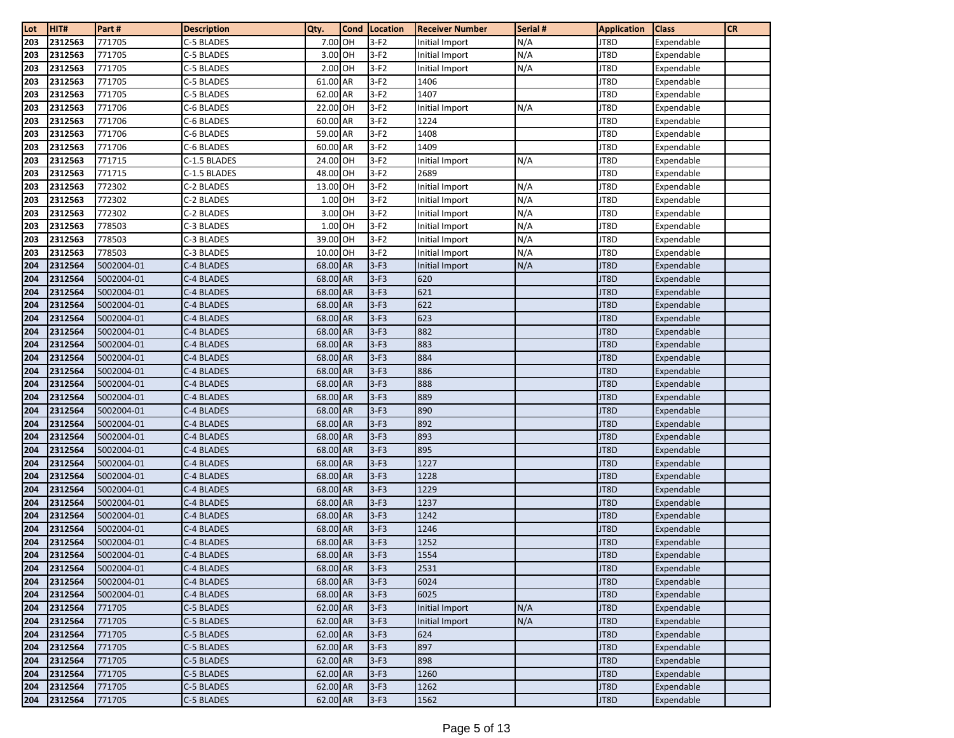| Lot        | HIT#               | Part #                   | <b>Description</b>       | Qty.                 | Cond | Location         | <b>Receiver Number</b> | Serial # | <b>Application</b> | <b>Class</b>             | <b>CR</b> |
|------------|--------------------|--------------------------|--------------------------|----------------------|------|------------------|------------------------|----------|--------------------|--------------------------|-----------|
| 203        | 2312563            | 771705                   | C-5 BLADES               | 7.00 OH              |      | $3-F2$           | Initial Import         | N/A      | JT8D               | Expendable               |           |
| 203        | 2312563            | 771705                   | C-5 BLADES               | 3.00 OH              |      | $3-F2$           | Initial Import         | N/A      | JT8D               | Expendable               |           |
| 203        | 2312563            | 771705                   | C-5 BLADES               | 2.00 OH              |      | $3-F2$           | Initial Import         | N/A      | JT8D               | Expendable               |           |
| 203        | 2312563            | 771705                   | C-5 BLADES               | 61.00 AR             |      | $3-F2$           | 1406                   |          | JT8D               | Expendable               |           |
| 203        | 2312563            | 771705                   | C-5 BLADES               | 62.00 AR             |      | $3-F2$           | 1407                   |          | JT8D               | Expendable               |           |
| 203        | 2312563            | 771706                   | C-6 BLADES               | 22.00 OH             |      | $3-F2$           | Initial Import         | N/A      | JT8D               | Expendable               |           |
| 203        | 2312563            | 771706                   | C-6 BLADES               | 60.00 AR             |      | $3-F2$           | 1224                   |          | JT8D               | Expendable               |           |
| 203        | 2312563            | 771706                   | C-6 BLADES               | 59.00 AR             |      | $3-F2$           | 1408                   |          | JT8D               | Expendable               |           |
| 203        | 2312563            | 771706                   | C-6 BLADES               | 60.00 AR             |      | $3-F2$           | 1409                   |          | JT8D               | Expendable               |           |
| 203        | 2312563            | 771715                   | C-1.5 BLADES             | 24.00 OH             |      | $3-F2$           | Initial Import         | N/A      | JT8D               | Expendable               |           |
| 203        | 2312563            | 771715                   | C-1.5 BLADES             | 48.00 OH             |      | $3-F2$           | 2689                   |          | JT8D               | Expendable               |           |
| 203        | 2312563            | 772302                   | C-2 BLADES               | 13.00 OH             |      | $3-F2$           | Initial Import         | N/A      | JT8D               | Expendable               |           |
| 203        | 2312563            | 772302                   | C-2 BLADES               | 1.00 OH              |      | $3-F2$           | Initial Import         | N/A      | JT8D               | Expendable               |           |
| 203        | 2312563            | 772302                   | C-2 BLADES               | 3.00 OH              |      | $3-F2$           | Initial Import         | N/A      | JT8D               | Expendable               |           |
| 203        | 2312563            | 778503                   | C-3 BLADES               | 1.00 OH              |      | $3-F2$           | Initial Import         | N/A      | JT8D               | Expendable               |           |
| 203        | 2312563            | 778503                   | C-3 BLADES               | 39.00 OH             |      | $3-F2$           | Initial Import         | N/A      | JT8D               | Expendable               |           |
| 203        | 2312563            | 778503                   | C-3 BLADES               | 10.00 OH             |      | $3-F2$           | Initial Import         | N/A      | JT8D               | Expendable               |           |
| 204        | 2312564            | 5002004-01               | C-4 BLADES               | 68.00 AR             |      | $3-F3$           | Initial Import         | N/A      | JT8D               | Expendable               |           |
| 204        | 2312564            | 5002004-01               | C-4 BLADES               | 68.00 AR             |      | $3-F3$           | 620                    |          | JT8D               | Expendable               |           |
| 204        | 2312564            | 5002004-01               | C-4 BLADES               | 68.00 AR             |      | $3-F3$           | 621                    |          | JT8D               | Expendable               |           |
| 204        | 2312564            | 5002004-01               | C-4 BLADES               | 68.00 AR             |      | $3-F3$           | 622                    |          | JT8D               | Expendable               |           |
| 204        | 2312564            | 5002004-01               | C-4 BLADES               | 68.00 AR             |      | $3-F3$           | 623                    |          | JT8D               | Expendable               |           |
| 204        | 2312564            | 5002004-01               | C-4 BLADES               | 68.00 AR             |      | $3-F3$           | 882                    |          | JT8D               | Expendable               |           |
| 204        | 2312564            | 5002004-01               | C-4 BLADES               | 68.00 AR             |      | $3-F3$           | 883                    |          | JT8D               | Expendable               |           |
| 204        | 2312564            | 5002004-01               | C-4 BLADES               | 68.00 AR             |      | $3-F3$           | 884                    |          | JT8D               | Expendable               |           |
| 204        | 2312564            | 5002004-01               | C-4 BLADES               | 68.00 AR             |      | $3-F3$           | 886                    |          | JT8D               | Expendable               |           |
| 204        | 2312564            | 5002004-01               | C-4 BLADES               | 68.00 AR             |      | $3-F3$           | 888                    |          | JT8D               | Expendable               |           |
| 204        | 2312564            | 5002004-01               | C-4 BLADES               | 68.00 AR             |      | $3-F3$           | 889                    |          | JT8D               | Expendable               |           |
| 204        | 2312564            | 5002004-01               | C-4 BLADES               | 68.00 AR             |      | $3-F3$           | 890                    |          | JT8D               | Expendable               |           |
| 204        | 2312564            | 5002004-01               | C-4 BLADES               | 68.00 AR             |      | $3-F3$           | 892                    |          | JT8D               | Expendable               |           |
| 204<br>204 | 2312564<br>2312564 | 5002004-01               | C-4 BLADES<br>C-4 BLADES | 68.00 AR<br>68.00 AR |      | $3-F3$<br>$3-F3$ | 893<br>895             |          | JT8D<br>JT8D       | Expendable               |           |
| 204        | 2312564            | 5002004-01<br>5002004-01 | C-4 BLADES               | 68.00 AR             |      | $3-F3$           | 1227                   |          | JT8D               | Expendable<br>Expendable |           |
| 204        | 2312564            | 5002004-01               | C-4 BLADES               | 68.00 AR             |      | $3-F3$           | 1228                   |          | JT8D               | Expendable               |           |
| 204        | 2312564            | 5002004-01               | C-4 BLADES               | 68.00 AR             |      | $3-F3$           | 1229                   |          | JT8D               | Expendable               |           |
| 204        | 2312564            | 5002004-01               | C-4 BLADES               | 68.00 AR             |      | $3-F3$           | 1237                   |          | JT8D               | Expendable               |           |
| 204        | 2312564            | 5002004-01               | C-4 BLADES               | 68.00 AR             |      | $3-F3$           | 1242                   |          | JT8D               | Expendable               |           |
| 204        | 2312564            | 5002004-01               | C-4 BLADES               | 68.00 AR             |      | $3-F3$           | 1246                   |          | JT8D               | Expendable               |           |
| 204        | 2312564            | 5002004-01               | C-4 BLADES               | 68.00 AR             |      | $3-F3$           | 1252                   |          | JT8D               | Expendable               |           |
| 204        | 2312564            | 5002004-01               | C-4 BLADES               | 68.00 AR             |      | $3-F3$           | 1554                   |          | JT8D               | Expendable               |           |
| 204        | 2312564            | 5002004-01               | C-4 BLADES               | 68.00 AR             |      | $3-F3$           | 2531                   |          | JT8D               | Expendable               |           |
| 204        | 2312564            | 5002004-01               | C-4 BLADES               | 68.00 AR             |      | $3-F3$           | 6024                   |          | JT8D               | Expendable               |           |
| 204        | 2312564            | 5002004-01               | C-4 BLADES               | 68.00 AR             |      | $3-F3$           | 6025                   |          | JT8D               | Expendable               |           |
| 204        | 2312564            | 771705                   | C-5 BLADES               | 62.00 AR             |      | $3-F3$           | Initial Import         | N/A      | JT8D               | Expendable               |           |
| 204        | 2312564            | 771705                   | C-5 BLADES               | 62.00 AR             |      | $3-F3$           | Initial Import         | N/A      | JT8D               | Expendable               |           |
| 204        | 2312564            | 771705                   | C-5 BLADES               | 62.00 AR             |      | $3-F3$           | 624                    |          | JT8D               | Expendable               |           |
| 204        | 2312564            | 771705                   | C-5 BLADES               | 62.00 AR             |      | $3-F3$           | 897                    |          | JT8D               | Expendable               |           |
| 204        | 2312564            | 771705                   | C-5 BLADES               | 62.00 AR             |      | $3-F3$           | 898                    |          | JT8D               | Expendable               |           |
| 204        | 2312564            | 771705                   | C-5 BLADES               | 62.00 AR             |      | $3-F3$           | 1260                   |          | JT8D               | Expendable               |           |
| 204        | 2312564            | 771705                   | C-5 BLADES               | 62.00 AR             |      | $3-F3$           | 1262                   |          | JT8D               | Expendable               |           |
| 204        | 2312564            | 771705                   | C-5 BLADES               | 62.00 AR             |      | $3-F3$           | 1562                   |          | JT8D               | Expendable               |           |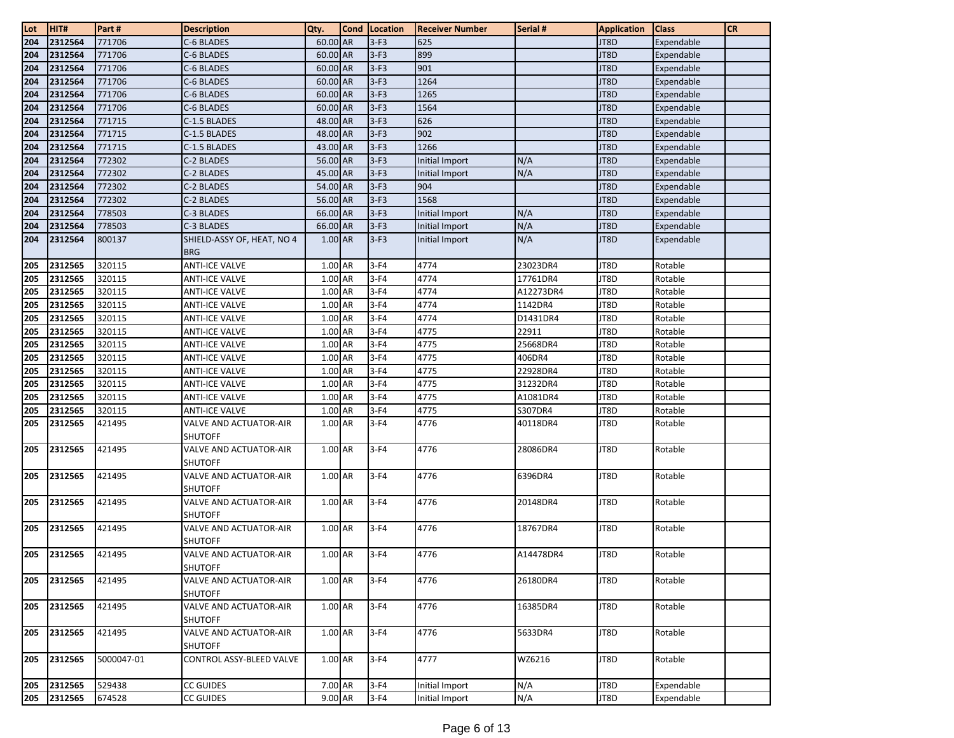| Lot | HIT#        | Part#      | <b>Description</b>                       | Qty.      | <b>Cond Location</b> | <b>Receiver Number</b> | Serial #  | <b>Application</b> | <b>Class</b> | <b>CR</b> |
|-----|-------------|------------|------------------------------------------|-----------|----------------------|------------------------|-----------|--------------------|--------------|-----------|
| 204 | 2312564     | 771706     | C-6 BLADES                               | 60.00 AR  | $3-F3$               | 625                    |           | JT8D               | Expendable   |           |
| 204 | 2312564     | 771706     | C-6 BLADES                               | 60.00 AR  | $3-F3$               | 899                    |           | JT8D               | Expendable   |           |
| 204 | 2312564     | 771706     | C-6 BLADES                               | 60.00 AR  | $3-F3$               | 901                    |           | JT8D               | Expendable   |           |
| 204 | 2312564     | 771706     | C-6 BLADES                               | 60.00 AR  | $3-F3$               | 1264                   |           | JT8D               | Expendable   |           |
| 204 | 2312564     | 771706     | C-6 BLADES                               | 60.00 AR  | $3-F3$               | 1265                   |           | JT8D               | Expendable   |           |
| 204 | 2312564     | 771706     | C-6 BLADES                               | 60.00 AR  | $3-F3$               | 1564                   |           | JT8D               | Expendable   |           |
| 204 | 2312564     | 771715     | C-1.5 BLADES                             | 48.00 AR  | $3-F3$               | 626                    |           | JT8D               | Expendable   |           |
| 204 | 2312564     | 771715     | C-1.5 BLADES                             | 48.00 AR  | $3-F3$               | 902                    |           | JT8D               | Expendable   |           |
| 204 | 2312564     | 771715     | C-1.5 BLADES                             | 43.00 AR  | $3-F3$               | 1266                   |           | JT8D               | Expendable   |           |
| 204 | 2312564     | 772302     | C-2 BLADES                               | 56.00 AR  | $3-F3$               | Initial Import         | N/A       | JT8D               | Expendable   |           |
| 204 | 2312564     | 772302     | C-2 BLADES                               | 45.00 AR  | $3-F3$               | <b>Initial Import</b>  | N/A       | JT8D               | Expendable   |           |
| 204 | 2312564     | 772302     | C-2 BLADES                               | 54.00 AR  | $3-F3$               | 904                    |           | JT8D               | Expendable   |           |
| 204 | 2312564     | 772302     | C-2 BLADES                               | 56.00 AR  | $3-F3$               | 1568                   |           | JT8D               | Expendable   |           |
| 204 | 2312564     | 778503     | C-3 BLADES                               | 66.00 AR  | $3-F3$               | Initial Import         | N/A       | JT8D               | Expendable   |           |
| 204 | 2312564     | 778503     | C-3 BLADES                               | 66.00 AR  | $3-F3$               | Initial Import         | N/A       | JT8D               | Expendable   |           |
| 204 | 2312564     | 800137     | SHIELD-ASSY OF, HEAT, NO 4               | 1.00 AR   | $3-F3$               | Initial Import         | N/A       | JT8D               | Expendable   |           |
|     |             |            | <b>BRG</b>                               |           |                      |                        |           |                    |              |           |
| 205 | 2312565     | 320115     | <b>ANTI-ICE VALVE</b>                    | 1.00 AR   | $3-F4$               | 4774                   | 23023DR4  | JT8D               | Rotable      |           |
| 205 | 2312565     | 320115     | <b>ANTI-ICE VALVE</b>                    | 1.00 AR   | $3-F4$               | 4774                   | 17761DR4  | JT8D               | Rotable      |           |
| 205 | 2312565     | 320115     | <b>ANTI-ICE VALVE</b>                    | 1.00 AR   | $3-F4$               | 4774                   | A12273DR4 | JT8D               | Rotable      |           |
| 205 | 2312565     | 320115     | <b>ANTI-ICE VALVE</b>                    | 1.00 AR   | $3-F4$               | 4774                   | 1142DR4   | JT8D               | Rotable      |           |
| 205 | 2312565     | 320115     | ANTI-ICE VALVE                           | 1.00 AR   | $3-F4$               | 4774                   | D1431DR4  | JT8D               | Rotable      |           |
| 205 | 2312565     | 320115     | <b>ANTI-ICE VALVE</b>                    | 1.00 AR   | $3-F4$               | 4775                   | 22911     | JT8D               | Rotable      |           |
| 205 | 2312565     | 320115     | <b>ANTI-ICE VALVE</b>                    | 1.00 AR   | $3-F4$               | 4775                   | 25668DR4  | JT8D               | Rotable      |           |
| 205 | 2312565     | 320115     | <b>ANTI-ICE VALVE</b>                    | 1.00 AR   | $3-F4$               | 4775                   | 406DR4    | JT8D               | Rotable      |           |
| 205 | 2312565     | 320115     | <b>ANTI-ICE VALVE</b>                    | $1.00$ AR | $3-F4$               | 4775                   | 22928DR4  | JT8D               | Rotable      |           |
| 205 | 2312565     | 320115     | ANTI-ICE VALVE                           | 1.00 AR   | $3-F4$               | 4775                   | 31232DR4  | JT8D               | Rotable      |           |
| 205 | 2312565     | 320115     | <b>ANTI-ICE VALVE</b>                    | 1.00 AR   | $3-F4$               | 4775                   | A1081DR4  | JT8D               | Rotable      |           |
| 205 | 2312565     | 320115     | <b>ANTI-ICE VALVE</b>                    | 1.00 AR   | $3-F4$               | 4775                   | S307DR4   | JT8D               | Rotable      |           |
| 205 | 2312565     | 421495     | VALVE AND ACTUATOR-AIR                   | 1.00 AR   | $3-F4$               | 4776                   | 40118DR4  | JT8D               | Rotable      |           |
|     |             |            | <b>SHUTOFF</b>                           |           |                      |                        |           |                    |              |           |
| 205 | 2312565     | 421495     | VALVE AND ACTUATOR-AIR<br><b>SHUTOFF</b> | 1.00 AR   | $3-F4$               | 4776                   | 28086DR4  | JT8D               | Rotable      |           |
| 205 | 2312565     | 421495     | VALVE AND ACTUATOR-AIR                   | 1.00 AR   | $3-F4$               | 4776                   | 6396DR4   | JT8D               | Rotable      |           |
|     |             |            | <b>SHUTOFF</b>                           |           |                      |                        |           |                    |              |           |
| 205 | 2312565     | 421495     | VALVE AND ACTUATOR-AIR                   | 1.00 AR   | $3-F4$               | 4776                   | 20148DR4  | JT8D               | Rotable      |           |
|     |             |            | <b>SHUTOFF</b>                           |           |                      |                        |           |                    |              |           |
| 205 | 2312565     | 421495     | VALVE AND ACTUATOR-AIR                   | 1.00 AR   | $3-F4$               | 4776                   | 18767DR4  | JT8D               | Rotable      |           |
|     |             |            | <b>SHUTOFF</b>                           |           |                      |                        |           |                    |              |           |
|     | 205 2312565 | 421495     | <b>VALVE AND ACTUATOR-AIR</b>            | 1.00 AR   | $3-F4$               | 4776                   | A14478DR4 | JT8D               | Rotable      |           |
|     |             |            | <b>SHUTOFF</b>                           |           |                      |                        |           |                    |              |           |
| 205 | 2312565     | 421495     | <b>VALVE AND ACTUATOR-AIR</b>            | 1.00 AR   | $3-F4$               | 4776                   | 26180DR4  | JT8D               | Rotable      |           |
|     |             |            | <b>SHUTOFF</b>                           |           |                      |                        |           |                    |              |           |
| 205 | 2312565     | 421495     | VALVE AND ACTUATOR-AIR                   | 1.00 AR   | $3-F4$               | 4776                   | 16385DR4  | JT8D               | Rotable      |           |
|     |             |            | <b>SHUTOFF</b>                           |           |                      |                        |           |                    |              |           |
| 205 | 2312565     | 421495     | <b>VALVE AND ACTUATOR-AIR</b>            | 1.00 AR   | $3-F4$               | 4776                   | 5633DR4   | JT8D               | Rotable      |           |
|     |             |            | <b>SHUTOFF</b>                           |           |                      |                        |           |                    |              |           |
| 205 | 2312565     | 5000047-01 | CONTROL ASSY-BLEED VALVE                 | 1.00 AR   | $3-F4$               | 4777                   | WZ6216    | JT8D               | Rotable      |           |
| 205 | 2312565     | 529438     | <b>CC GUIDES</b>                         | 7.00 AR   | $3-F4$               | Initial Import         | N/A       | JT8D               | Expendable   |           |
| 205 | 2312565     | 674528     | CC GUIDES                                | 9.00 AR   | $3-F4$               | Initial Import         | N/A       | JT8D               | Expendable   |           |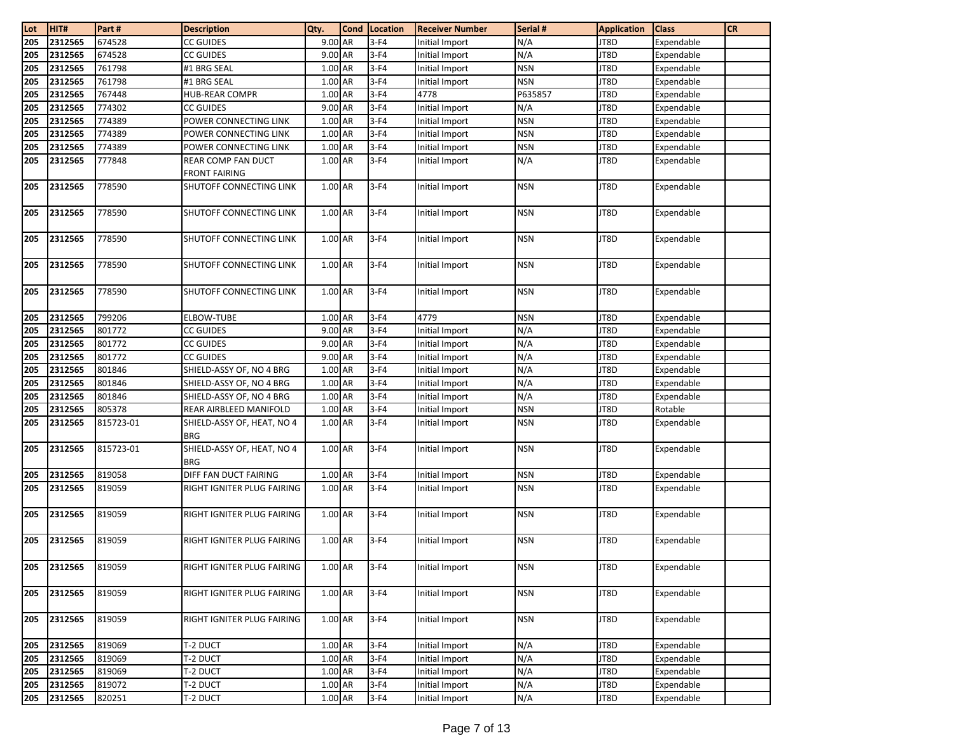| Lot | HIT#    | Part#     | <b>Description</b>                       | Qty.      | Cond | Location | <b>Receiver Number</b> | Serial #   | <b>Application</b> | <b>Class</b> | <b>CR</b> |
|-----|---------|-----------|------------------------------------------|-----------|------|----------|------------------------|------------|--------------------|--------------|-----------|
| 205 | 2312565 | 674528    | CC GUIDES                                | $9.00$ AR |      | $3-F4$   | Initial Import         | N/A        | JT8D               | Expendable   |           |
| 205 | 2312565 | 674528    | CC GUIDES                                | 9.00 AR   |      | $3-F4$   | Initial Import         | N/A        | JT8D               | Expendable   |           |
| 205 | 2312565 | 761798    | #1 BRG SEAL                              | $1.00$ AR |      | $3-F4$   | Initial Import         | <b>NSN</b> | JT8D               | Expendable   |           |
| 205 | 2312565 | 761798    | #1 BRG SEAL                              | 1.00 AR   |      | $3-F4$   | Initial Import         | <b>NSN</b> | JT8D               | Expendable   |           |
| 205 | 2312565 | 767448    | HUB-REAR COMPR                           | 1.00 AR   |      | $3-F4$   | 4778                   | P635857    | JT8D               | Expendable   |           |
| 205 | 2312565 | 774302    | CC GUIDES                                | 9.00 AR   |      | $3-F4$   | Initial Import         | N/A        | JT8D               | Expendable   |           |
| 205 | 2312565 | 774389    | POWER CONNECTING LINK                    | 1.00 AR   |      | $3-F4$   | Initial Import         | <b>NSN</b> | JT8D               | Expendable   |           |
| 205 | 2312565 | 774389    | POWER CONNECTING LINK                    | 1.00 AR   |      | $3-F4$   | Initial Import         | <b>NSN</b> | JT8D               | Expendable   |           |
| 205 | 2312565 | 774389    | POWER CONNECTING LINK                    | 1.00 AR   |      | $3-F4$   | Initial Import         | <b>NSN</b> | JT8D               | Expendable   |           |
| 205 | 2312565 | 777848    | REAR COMP FAN DUCT                       | $1.00$ AR |      | $3-F4$   | Initial Import         | N/A        | JT8D               | Expendable   |           |
|     |         |           | <b>FRONT FAIRING</b>                     |           |      |          |                        |            |                    |              |           |
| 205 | 2312565 | 778590    | SHUTOFF CONNECTING LINK                  | 1.00 AR   |      | $3-F4$   | Initial Import         | <b>NSN</b> | JT8D               | Expendable   |           |
| 205 | 2312565 | 778590    | SHUTOFF CONNECTING LINK                  | 1.00 AR   |      | $3-F4$   | Initial Import         | <b>NSN</b> | JT8D               | Expendable   |           |
| 205 | 2312565 | 778590    | SHUTOFF CONNECTING LINK                  | 1.00 AR   |      | $3-F4$   | Initial Import         | <b>NSN</b> | JT8D               | Expendable   |           |
| 205 | 2312565 | 778590    | <b>SHUTOFF CONNECTING LINK</b>           | $1.00$ AR |      | $3-F4$   | Initial Import         | <b>NSN</b> | JT8D               | Expendable   |           |
| 205 | 2312565 | 778590    | SHUTOFF CONNECTING LINK                  | 1.00 AR   |      | $3-F4$   | Initial Import         | <b>NSN</b> | JT8D               | Expendable   |           |
| 205 | 2312565 | 799206    | ELBOW-TUBE                               | 1.00 AR   |      | $3-F4$   | 4779                   | <b>NSN</b> | JT8D               | Expendable   |           |
| 205 | 2312565 | 801772    | <b>CC GUIDES</b>                         | 9.00 AR   |      | $3-F4$   | Initial Import         | N/A        | JT8D               | Expendable   |           |
| 205 | 2312565 | 801772    | CC GUIDES                                | 9.00 AR   |      | $3-F4$   | Initial Import         | N/A        | JT8D               | Expendable   |           |
| 205 | 2312565 | 801772    | <b>CC GUIDES</b>                         | 9.00 AR   |      | $3-F4$   | Initial Import         | N/A        | JT8D               | Expendable   |           |
| 205 | 2312565 | 801846    | SHIELD-ASSY OF, NO 4 BRG                 | $1.00$ AR |      | $3-F4$   | Initial Import         | N/A        | JT8D               | Expendable   |           |
| 205 | 2312565 | 801846    | SHIELD-ASSY OF, NO 4 BRG                 | 1.00 AR   |      | $3-F4$   | Initial Import         | N/A        | JT8D               | Expendable   |           |
| 205 | 2312565 | 801846    | SHIELD-ASSY OF, NO 4 BRG                 | 1.00 AR   |      | $3-F4$   | Initial Import         | N/A        | JT8D               | Expendable   |           |
| 205 | 2312565 | 805378    | REAR AIRBLEED MANIFOLD                   | 1.00 AR   |      | $3-F4$   | Initial Import         | <b>NSN</b> | JT8D               | Rotable      |           |
| 205 | 2312565 | 815723-01 | SHIELD-ASSY OF, HEAT, NO 4<br><b>BRG</b> | 1.00 AR   |      | $3-F4$   | Initial Import         | <b>NSN</b> | JT8D               | Expendable   |           |
| 205 | 2312565 | 815723-01 | SHIELD-ASSY OF, HEAT, NO 4<br><b>BRG</b> | 1.00 AR   |      | $3-F4$   | Initial Import         | <b>NSN</b> | JT8D               | Expendable   |           |
| 205 | 2312565 | 819058    | DIFF FAN DUCT FAIRING                    | 1.00 AR   |      | $3-F4$   | Initial Import         | <b>NSN</b> | JT8D               | Expendable   |           |
| 205 | 2312565 | 819059    | RIGHT IGNITER PLUG FAIRING               | 1.00 AR   |      | $3-F4$   | Initial Import         | <b>NSN</b> | JT8D               | Expendable   |           |
| 205 | 2312565 | 819059    | RIGHT IGNITER PLUG FAIRING               | 1.00 AR   |      | $3-F4$   | Initial Import         | <b>NSN</b> | JT8D               | Expendable   |           |
| 205 | 2312565 | 819059    | RIGHT IGNITER PLUG FAIRING               | 1.00 AR   |      | $3-F4$   | Initial Import         | <b>NSN</b> | JT8D               | Expendable   |           |
| 205 | 2312565 | 819059    | RIGHT IGNITER PLUG FAIRING               | 1.00 AR   |      | $3-F4$   | Initial Import         | <b>NSN</b> | JT8D               | Expendable   |           |
| 205 | 2312565 | 819059    | RIGHT IGNITER PLUG FAIRING               | 1.00 AR   |      | $3-F4$   | Initial Import         | <b>NSN</b> | JT8D               | Expendable   |           |
| 205 | 2312565 | 819059    | RIGHT IGNITER PLUG FAIRING               | 1.00 AR   |      | $3-F4$   | Initial Import         | <b>NSN</b> | JT8D               | Expendable   |           |
| 205 | 2312565 | 819069    | T-2 DUCT                                 | 1.00 AR   |      | $3-F4$   | Initial Import         | N/A        | JT8D               | Expendable   |           |
| 205 | 2312565 | 819069    | T-2 DUCT                                 | 1.00 AR   |      | $3-F4$   | Initial Import         | N/A        | JT8D               | Expendable   |           |
| 205 | 2312565 | 819069    | T-2 DUCT                                 | 1.00 AR   |      | $3-F4$   | Initial Import         | N/A        | JT8D               | Expendable   |           |
| 205 | 2312565 | 819072    | T-2 DUCT                                 | 1.00 AR   |      | $3-F4$   | Initial Import         | N/A        | JT8D               | Expendable   |           |
| 205 | 2312565 | 820251    | T-2 DUCT                                 | 1.00 AR   |      | $3-F4$   | Initial Import         | N/A        | JT8D               | Expendable   |           |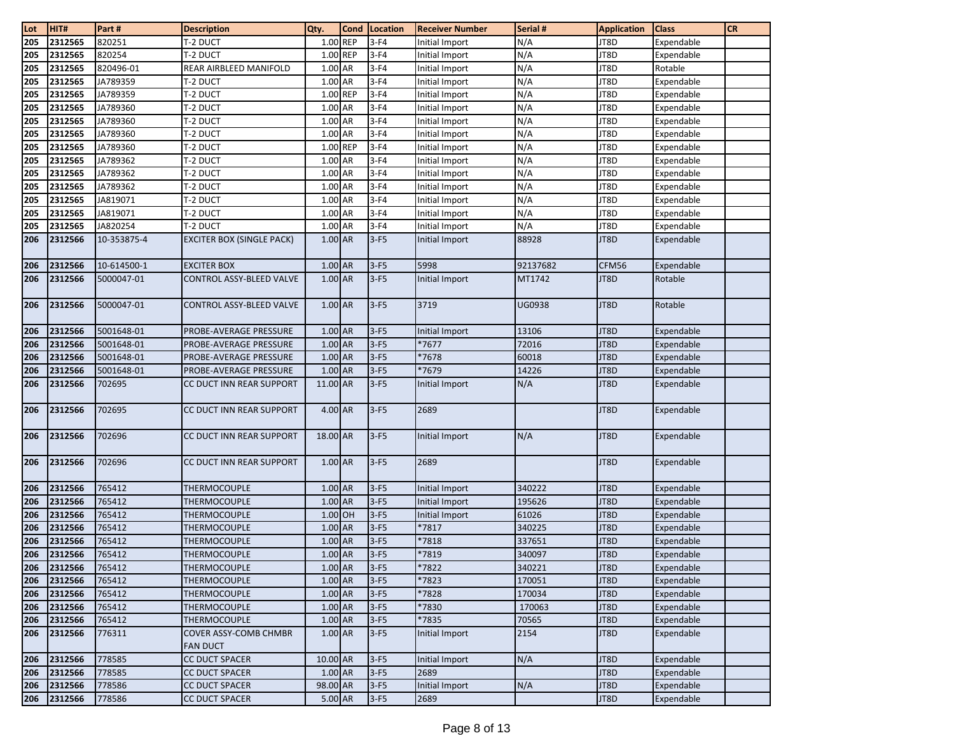| Lot | HIT#    | Part#       | <b>Description</b>               | Qty.      | Cond | Location | <b>Receiver Number</b> | Serial #      | <b>Application</b> | <b>Class</b> | <b>CR</b> |
|-----|---------|-------------|----------------------------------|-----------|------|----------|------------------------|---------------|--------------------|--------------|-----------|
| 205 | 2312565 | 820251      | t-2 duct                         | 1.00 REP  |      | $3-F4$   | Initial Import         | N/A           | JT8D               | Expendable   |           |
| 205 | 2312565 | 820254      | T-2 DUCT                         | 1.00 REP  |      | $3-F4$   | Initial Import         | N/A           | JT8D               | Expendable   |           |
| 205 | 2312565 | 820496-01   | REAR AIRBLEED MANIFOLD           | 1.00 AR   |      | $3-F4$   | Initial Import         | N/A           | JT8D               | Rotable      |           |
| 205 | 2312565 | JA789359    | T-2 DUCT                         | 1.00 AR   |      | $3-F4$   | Initial Import         | N/A           | JT8D               | Expendable   |           |
| 205 | 2312565 | JA789359    | <b>T-2 DUCT</b>                  | 1.00 REP  |      | $3-F4$   | Initial Import         | N/A           | JT8D               | Expendable   |           |
| 205 | 2312565 | JA789360    | <b>T-2 DUCT</b>                  | 1.00 AR   |      | $3-F4$   | Initial Import         | N/A           | JT8D               | Expendable   |           |
| 205 | 2312565 | JA789360    | T-2 DUCT                         | $1.00$ AR |      | $3-F4$   | Initial Import         | N/A           | JT8D               | Expendable   |           |
| 205 | 2312565 | JA789360    | <b>T-2 DUCT</b>                  | 1.00 AR   |      | $3-F4$   | Initial Import         | N/A           | JT8D               | Expendable   |           |
| 205 | 2312565 | JA789360    | <b>T-2 DUCT</b>                  | 1.00 REP  |      | $3-F4$   | Initial Import         | N/A           | JT8D               | Expendable   |           |
| 205 | 2312565 | JA789362    | <b>T-2 DUCT</b>                  | 1.00 AR   |      | $3-F4$   | Initial Import         | N/A           | JT8D               | Expendable   |           |
| 205 | 2312565 | JA789362    | T-2 DUCT                         | 1.00 AR   |      | $3-F4$   | Initial Import         | N/A           | JT8D               | Expendable   |           |
| 205 | 2312565 | JA789362    | <b>T-2 DUCT</b>                  | 1.00 AR   |      | $3-F4$   | Initial Import         | N/A           | JT8D               | Expendable   |           |
| 205 | 2312565 | JA819071    | T-2 DUCT                         | 1.00 AR   |      | $3-F4$   | Initial Import         | N/A           | JT8D               | Expendable   |           |
| 205 | 2312565 | JA819071    | T-2 DUCT                         | 1.00 AR   |      | $3-F4$   | Initial Import         | N/A           | JT8D               | Expendable   |           |
| 205 | 2312565 | JA820254    | T-2 DUCT                         | 1.00 AR   |      | $3-F4$   | Initial Import         | N/A           | JT8D               | Expendable   |           |
| 206 | 2312566 | 10-353875-4 | <b>EXCITER BOX (SINGLE PACK)</b> | 1.00 AR   |      | $3-F5$   | Initial Import         | 88928         | JT8D               | Expendable   |           |
| 206 | 2312566 | 10-614500-1 | <b>EXCITER BOX</b>               | 1.00 AR   |      | $3-F5$   | 5998                   | 92137682      | CFM56              | Expendable   |           |
| 206 | 2312566 | 5000047-01  | CONTROL ASSY-BLEED VALVE         | $1.00$ AR |      | $3-F5$   | Initial Import         | MT1742        | JT8D               | Rotable      |           |
| 206 | 2312566 | 5000047-01  | CONTROL ASSY-BLEED VALVE         | 1.00 AR   |      | $3-F5$   | 3719                   | <b>UG0938</b> | JT8D               | Rotable      |           |
| 206 | 2312566 | 5001648-01  | PROBE-AVERAGE PRESSURE           | 1.00 AR   |      | $3-F5$   | Initial Import         | 13106         | JT8D               | Expendable   |           |
| 206 | 2312566 | 5001648-01  | PROBE-AVERAGE PRESSURE           | 1.00 AR   |      | $3-F5$   | *7677                  | 72016         | JT8D               | Expendable   |           |
| 206 | 2312566 | 5001648-01  | PROBE-AVERAGE PRESSURE           | $1.00$ AR |      | $3-F5$   | *7678                  | 60018         | JT8D               | Expendable   |           |
| 206 | 2312566 | 5001648-01  | PROBE-AVERAGE PRESSURE           | $1.00$ AR |      | $3-F5$   | *7679                  | 14226         | JT8D               | Expendable   |           |
| 206 | 2312566 | 702695      | CC DUCT INN REAR SUPPORT         | 11.00 AR  |      | $3-F5$   | Initial Import         | N/A           | JT8D               | Expendable   |           |
| 206 | 2312566 | 702695      | CC DUCT INN REAR SUPPORT         | 4.00 AR   |      | $3-F5$   | 2689                   |               | JT8D               | Expendable   |           |
| 206 | 2312566 | 702696      | CC DUCT INN REAR SUPPORT         | 18.00 AR  |      | $3-F5$   | Initial Import         | N/A           | JT8D               | Expendable   |           |
| 206 | 2312566 | 702696      | CC DUCT INN REAR SUPPORT         | 1.00 AR   |      | $3-F5$   | 2689                   |               | JT8D               | Expendable   |           |
| 206 | 2312566 | 765412      | THERMOCOUPLE                     | 1.00 AR   |      | $3-F5$   | Initial Import         | 340222        | JT8D               | Expendable   |           |
| 206 | 2312566 | 765412      | THERMOCOUPLE                     | 1.00 AR   |      | $3-F5$   | Initial Import         | 195626        | JT8D               | Expendable   |           |
| 206 | 2312566 | 765412      | THERMOCOUPLE                     | 1.00 OH   |      | $3-F5$   | <b>Initial Import</b>  | 61026         | JT8D               | Expendable   |           |
| 206 | 2312566 | 765412      | THERMOCOUPLE                     | 1.00 AR   |      | $3-F5$   | *7817                  | 340225        | JT8D               | Expendable   |           |
| 206 | 2312566 | 765412      | THERMOCOUPLE                     | 1.00 AR   |      | $3-F5$   | *7818                  | 337651        | JT8D               | Expendable   |           |
| 206 | 2312566 | 765412      | <b>THERMOCOUPLE</b>              | 1.00 AR   |      | $3-F5$   | *7819                  | 340097        | JT8D               | Expendable   |           |
| 206 | 2312566 | 765412      | THERMOCOUPLE                     | 1.00 AR   |      | $3-F5$   | *7822                  | 340221        | JT8D               | Expendable   |           |
| 206 | 2312566 | 765412      | THERMOCOUPLE                     | 1.00 AR   |      | $3-F5$   | *7823                  | 170051        | JT8D               | Expendable   |           |
| 206 | 2312566 | 765412      | <b>THERMOCOUPLE</b>              | 1.00 AR   |      | $3-F5$   | *7828                  | 170034        | JT8D               | Expendable   |           |
| 206 | 2312566 | 765412      | THERMOCOUPLE                     | 1.00 AR   |      | $3-F5$   | *7830                  | 170063        | JT8D               | Expendable   |           |
| 206 | 2312566 | 765412      | <b>THERMOCOUPLE</b>              | 1.00 AR   |      | $3-F5$   | *7835                  | 70565         | JT8D               | Expendable   |           |
| 206 | 2312566 | 776311      | <b>COVER ASSY-COMB CHMBR</b>     | 1.00 AR   |      | $3-F5$   | Initial Import         | 2154          | JT8D               | Expendable   |           |
|     |         |             | <b>FAN DUCT</b>                  |           |      |          |                        |               |                    |              |           |
| 206 | 2312566 | 778585      | <b>CC DUCT SPACER</b>            | 10.00 AR  |      | $3-F5$   | Initial Import         | N/A           | JT8D               | Expendable   |           |
| 206 | 2312566 | 778585      | CC DUCT SPACER                   | 1.00 AR   |      | $3-F5$   | 2689                   |               | JT8D               | Expendable   |           |
| 206 | 2312566 | 778586      | <b>CC DUCT SPACER</b>            | 98.00 AR  |      | $3-F5$   | Initial Import         | N/A           | JT8D               | Expendable   |           |
| 206 | 2312566 | 778586      | CC DUCT SPACER                   | $5.00$ AR |      | $3-F5$   | 2689                   |               | JT8D               | Expendable   |           |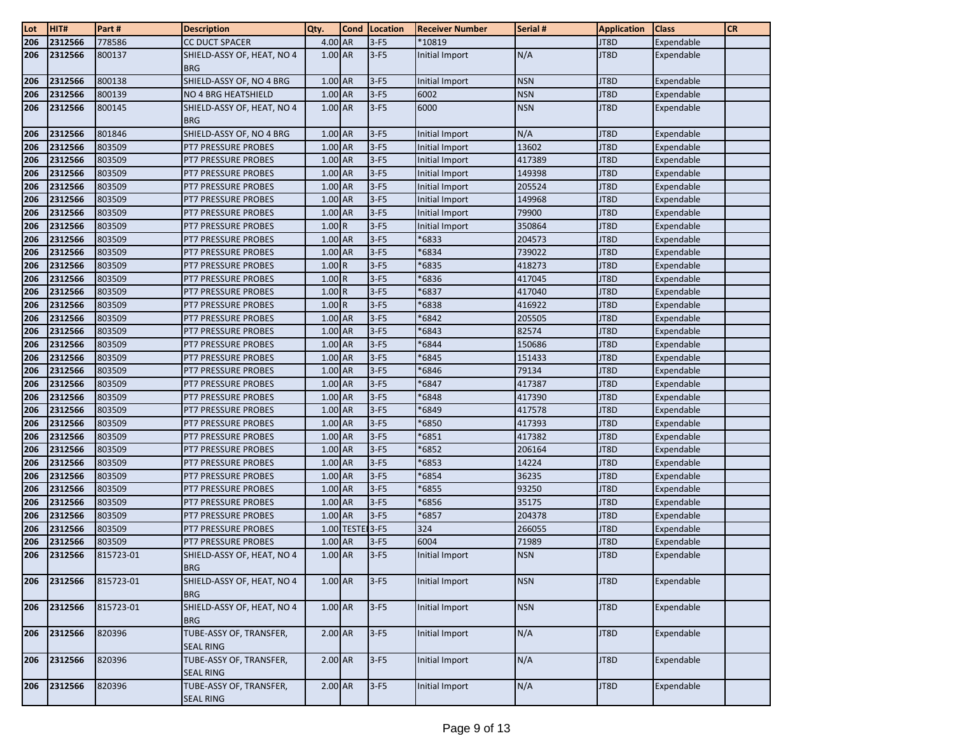| Lot | HIT#    | Part#     | <b>Description</b>                          | Qty.      | <b>Cond</b>     | Location | <b>Receiver Number</b> | Serial #   | <b>Application</b> | Class      | <b>CR</b> |
|-----|---------|-----------|---------------------------------------------|-----------|-----------------|----------|------------------------|------------|--------------------|------------|-----------|
| 206 | 2312566 | 778586    | <b>CC DUCT SPACER</b>                       | 4.00 AR   |                 | $3-F5$   | *10819                 |            | JT8D               | Expendable |           |
| 206 | 2312566 | 800137    | SHIELD-ASSY OF, HEAT, NO 4<br><b>BRG</b>    | 1.00 AR   |                 | $3-F5$   | Initial Import         | N/A        | JT8D               | Expendable |           |
| 206 | 2312566 | 800138    | SHIELD-ASSY OF, NO 4 BRG                    | 1.00 AR   |                 | $3-F5$   | Initial Import         | <b>NSN</b> | JT8D               | Expendable |           |
| 206 | 2312566 | 800139    | NO 4 BRG HEATSHIELD                         | 1.00 AR   |                 | $3-F5$   | 6002                   | <b>NSN</b> | JT8D               | Expendable |           |
| 206 | 2312566 | 800145    | SHIELD-ASSY OF, HEAT, NO 4<br><b>BRG</b>    | 1.00 AR   |                 | $3-F5$   | 6000                   | <b>NSN</b> | JT8D               | Expendable |           |
| 206 | 2312566 | 801846    | SHIELD-ASSY OF, NO 4 BRG                    | 1.00 AR   |                 | $3-F5$   | Initial Import         | N/A        | JT8D               | Expendable |           |
| 206 | 2312566 | 803509    | PT7 PRESSURE PROBES                         | 1.00 AR   |                 | $3-F5$   | Initial Import         | 13602      | JT8D               | Expendable |           |
| 206 | 2312566 | 803509    | PT7 PRESSURE PROBES                         | 1.00 AR   |                 | $3-F5$   | Initial Import         | 417389     | JT8D               | Expendable |           |
| 206 | 2312566 | 803509    | <b>PT7 PRESSURE PROBES</b>                  | 1.00 AR   |                 | $3-F5$   | Initial Import         | 149398     | JT8D               | Expendable |           |
| 206 | 2312566 | 803509    | <b>PT7 PRESSURE PROBES</b>                  | 1.00 AR   |                 | $3-F5$   | Initial Import         | 205524     | JT8D               | Expendable |           |
| 206 | 2312566 | 803509    | PT7 PRESSURE PROBES                         | 1.00 AR   |                 | $3-F5$   | Initial Import         | 149968     | JT8D               | Expendable |           |
| 206 | 2312566 | 803509    | PT7 PRESSURE PROBES                         | 1.00 AR   |                 | $3-F5$   | Initial Import         | 79900      | JT8D               | Expendable |           |
| 206 | 2312566 | 803509    | PT7 PRESSURE PROBES                         | 1.00R     |                 | $3-F5$   | Initial Import         | 350864     | JT8D               | Expendable |           |
| 206 | 2312566 | 803509    | PT7 PRESSURE PROBES                         | 1.00 AR   |                 | $3-F5$   | 6833                   | 204573     | JT8D               | Expendable |           |
| 206 | 2312566 | 803509    | PT7 PRESSURE PROBES                         | 1.00 AR   |                 | $3-F5$   | *6834                  | 739022     | JT8D               | Expendable |           |
| 206 | 2312566 | 803509    | PT7 PRESSURE PROBES                         | 1.00R     |                 | $3-F5$   | 6835                   | 418273     | JT8D               | Expendable |           |
| 206 | 2312566 | 803509    | PT7 PRESSURE PROBES                         | 1.00R     |                 | $3-F5$   | 6836                   | 417045     | JT8D               | Expendable |           |
| 206 | 2312566 | 803509    | PT7 PRESSURE PROBES                         | 1.00R     |                 | $3-F5$   | 6837                   | 417040     | JT8D               | Expendable |           |
| 206 | 2312566 | 803509    | PT7 PRESSURE PROBES                         | 1.00R     |                 | $3-F5$   | 6838                   | 416922     | JT8D               | Expendable |           |
| 206 | 2312566 | 803509    | PT7 PRESSURE PROBES                         | 1.00 AR   |                 | $3-F5$   | 6842                   | 205505     | JT8D               | Expendable |           |
| 206 | 2312566 | 803509    | PT7 PRESSURE PROBES                         | 1.00 AR   |                 | $3-F5$   | 6843                   | 82574      | JT8D               | Expendable |           |
| 206 | 2312566 | 803509    | PT7 PRESSURE PROBES                         | 1.00 AR   |                 | $3-F5$   | 6844                   | 150686     | JT8D               | Expendable |           |
| 206 | 2312566 | 803509    | PT7 PRESSURE PROBES                         | 1.00 AR   |                 | $3-F5$   | 6845                   | 151433     | JT8D               | Expendable |           |
| 206 | 2312566 | 803509    | PT7 PRESSURE PROBES                         | 1.00 AR   |                 | $3-F5$   | 6846                   | 79134      | JT8D               | Expendable |           |
| 206 | 2312566 | 803509    | PT7 PRESSURE PROBES                         | 1.00 AR   |                 | $3-F5$   | 6847                   | 417387     | JT8D               | Expendable |           |
| 206 | 2312566 | 803509    | PT7 PRESSURE PROBES                         | 1.00 AR   |                 | $3-F5$   | *6848                  | 417390     | JT8D               | Expendable |           |
| 206 | 2312566 | 803509    | PT7 PRESSURE PROBES                         | 1.00 AR   |                 | $3-F5$   | 6849                   | 417578     | JT8D               | Expendable |           |
| 206 | 2312566 | 803509    | PT7 PRESSURE PROBES                         | 1.00 AR   |                 | $3-F5$   | 6850                   | 417393     | JT8D               | Expendable |           |
| 206 | 2312566 | 803509    | PT7 PRESSURE PROBES                         | 1.00 AR   |                 | $3-F5$   | 6851                   | 417382     | JT8D               | Expendable |           |
| 206 | 2312566 | 803509    | PT7 PRESSURE PROBES                         | 1.00 AR   |                 | $3-F5$   | 6852                   | 206164     | JT8D               | Expendable |           |
| 206 | 2312566 | 803509    | PT7 PRESSURE PROBES                         | 1.00 AR   |                 | $3-F5$   | 6853                   | 14224      | JT8D               | Expendable |           |
| 206 | 2312566 | 803509    | PT7 PRESSURE PROBES                         | 1.00 AR   |                 | $3-F5$   | 6854                   | 36235      | JT8D               | Expendable |           |
| 206 | 2312566 | 803509    | PT7 PRESSURE PROBES                         | 1.00 AR   |                 | $3-F5$   | *6855                  | 93250      | JT8D               | Expendable |           |
| 206 | 2312566 | 803509    | PT7 PRESSURE PROBES                         | 1.00 AR   |                 | $3-F5$   | *6856                  | 35175      | JT8D               | Expendable |           |
| 206 | 2312566 | 803509    | PT7 PRESSURE PROBES                         | 1.00 AR   |                 | $3-F5$   | 6857                   | 204378     | JT8D               | Expendable |           |
| 206 | 2312566 | 803509    | PT7 PRESSURE PROBES                         |           | 1.00 TESTE 3-F5 |          | 324                    | 266055     | JT8D               | Expendable |           |
| 206 | 2312566 | 803509    | PT7 PRESSURE PROBES                         | 1.00 AR   |                 | $3-F5$   | 6004                   | 71989      | JT8D               | Expendable |           |
| 206 | 2312566 | 815723-01 | SHIELD-ASSY OF, HEAT, NO 4<br><b>BRG</b>    | 1.00 AR   |                 | $3-F5$   | Initial Import         | <b>NSN</b> | JT8D               | Expendable |           |
| 206 | 2312566 | 815723-01 | SHIELD-ASSY OF, HEAT, NO 4<br><b>BRG</b>    | 1.00 AR   |                 | $3-F5$   | Initial Import         | <b>NSN</b> | JT8D               | Expendable |           |
| 206 | 2312566 | 815723-01 | SHIELD-ASSY OF, HEAT, NO 4<br><b>BRG</b>    | 1.00 AR   |                 | $3-F5$   | Initial Import         | <b>NSN</b> | JT8D               | Expendable |           |
| 206 | 2312566 | 820396    | TUBE-ASSY OF, TRANSFER,<br><b>SEAL RING</b> | $2.00$ AR |                 | $3-F5$   | Initial Import         | N/A        | JT8D               | Expendable |           |
| 206 | 2312566 | 820396    | TUBE-ASSY OF, TRANSFER,<br><b>SEAL RING</b> | $2.00$ AR |                 | $3-F5$   | Initial Import         | N/A        | JT8D               | Expendable |           |
| 206 | 2312566 | 820396    | TUBE-ASSY OF, TRANSFER,<br><b>SEAL RING</b> | $2.00$ AR |                 | $3-F5$   | Initial Import         | N/A        | JT8D               | Expendable |           |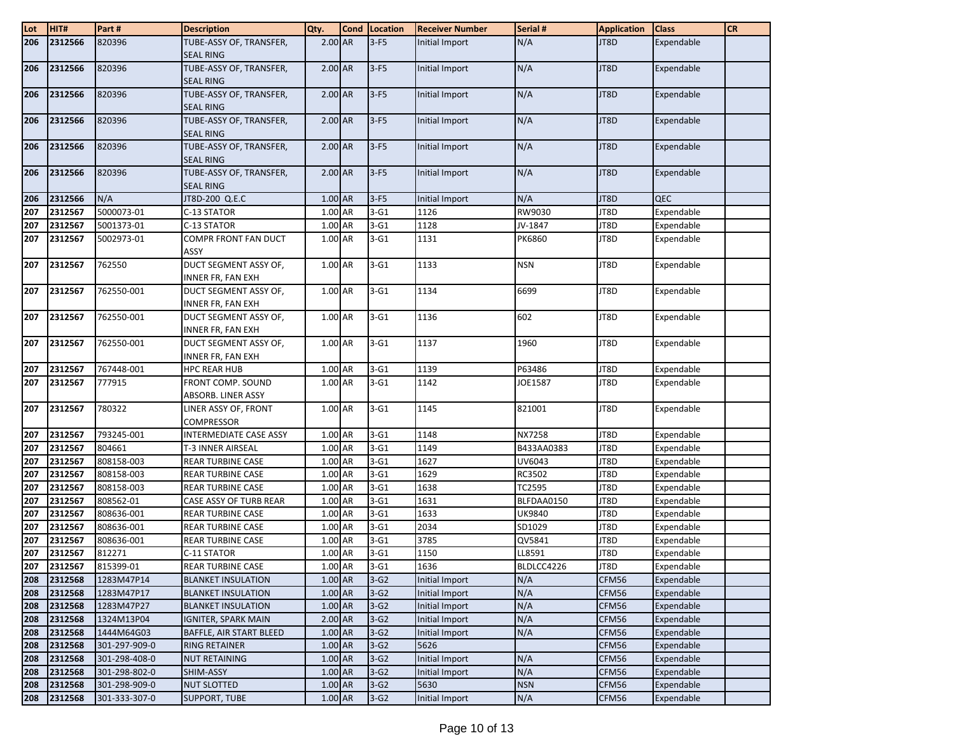| Lot        | HIT#               | Part#                          | <b>Description</b>                                | Qty.               | Cond Location    | <b>Receiver Number</b>           | Serial #      | <b>Application</b> | <b>Class</b>             | <b>CR</b> |
|------------|--------------------|--------------------------------|---------------------------------------------------|--------------------|------------------|----------------------------------|---------------|--------------------|--------------------------|-----------|
| 206        | 2312566            | 820396                         | TUBE-ASSY OF, TRANSFER,                           | 2.00 AR            | $3-F5$           | Initial Import                   | N/A           | JT8D               | Expendable               |           |
|            |                    |                                | <b>SEAL RING</b>                                  |                    |                  |                                  |               |                    |                          |           |
| 206        | 2312566            | 820396                         | TUBE-ASSY OF, TRANSFER,<br><b>SEAL RING</b>       | 2.00 AR            | $3-F5$           | Initial Import                   | N/A           | JT8D               | Expendable               |           |
| 206        | 2312566            | 820396                         | TUBE-ASSY OF, TRANSFER,<br><b>SEAL RING</b>       | 2.00 AR            | $3-F5$           | Initial Import                   | N/A           | JT8D               | Expendable               |           |
| 206        | 2312566            | 820396                         | TUBE-ASSY OF, TRANSFER,<br><b>SEAL RING</b>       | $2.00$ AR          | $3-F5$           | Initial Import                   | N/A           | JT8D               | Expendable               |           |
| 206        | 2312566            | 820396                         | TUBE-ASSY OF, TRANSFER,<br><b>SEAL RING</b>       | 2.00 AR            | $3-F5$           | Initial Import                   | N/A           | JT8D               | Expendable               |           |
| 206        | 2312566            | 820396                         | TUBE-ASSY OF, TRANSFER,<br><b>SEAL RING</b>       | 2.00 AR            | $3-F5$           | Initial Import                   | N/A           | JT8D               | Expendable               |           |
| 206        | 2312566            | N/A                            | JT8D-200 Q.E.C                                    | 1.00 AR            | $3-F5$           | Initial Import                   | N/A           | JT8D               | <b>QEC</b>               |           |
| 207        | 2312567            | 5000073-01                     | C-13 STATOR                                       | 1.00 AR            | $3-G1$           | 1126                             | RW9030        | JT8D               | Expendable               |           |
| 207        | 2312567            | 5001373-01                     | C-13 STATOR                                       | 1.00 AR            | $3-G1$           | 1128                             | JV-1847       | JT8D               | Expendable               |           |
| 207        | 2312567            | 5002973-01                     | COMPR FRONT FAN DUCT<br>ASSY                      | 1.00 AR            | $3-G1$           | 1131                             | <b>PK6860</b> | JT8D               | Expendable               |           |
| 207        | 2312567            | 762550                         | DUCT SEGMENT ASSY OF,<br><b>INNER FR, FAN EXH</b> | 1.00 AR            | $3-G1$           | 1133                             | <b>NSN</b>    | JT8D               | Expendable               |           |
| 207        | 2312567            | 762550-001                     | DUCT SEGMENT ASSY OF,<br>INNER FR, FAN EXH        | 1.00 AR            | $3-G1$           | 1134                             | 6699          | JT8D               | Expendable               |           |
| 207        | 2312567            | 762550-001                     | DUCT SEGMENT ASSY OF,<br>INNER FR, FAN EXH        | 1.00 AR            | $3-G1$           | 1136                             | 602           | JT8D               | Expendable               |           |
| 207        | 2312567            | 762550-001                     | DUCT SEGMENT ASSY OF,<br><b>INNER FR, FAN EXH</b> | 1.00 AR            | $3-G1$           | 1137                             | 1960          | JT8D               | Expendable               |           |
| 207        | 2312567            | 767448-001                     | <b>HPC REAR HUB</b>                               | 1.00 AR            | $3-G1$           | 1139                             | P63486        | JT8D               | Expendable               |           |
| 207        | 2312567            | 777915                         | FRONT COMP. SOUND<br>ABSORB. LINER ASSY           | 1.00 AR            | $3-G1$           | 1142                             | JOE1587       | JT8D               | Expendable               |           |
| 207        | 2312567            | 780322                         | LINER ASSY OF, FRONT<br><b>COMPRESSOR</b>         | 1.00 AR            | $3-G1$           | 1145                             | 821001        | JT8D               | Expendable               |           |
| 207        | 2312567            | 793245-001                     | INTERMEDIATE CASE ASSY                            | 1.00 AR            | $3-G1$           | 1148                             | NX7258        | JT8D               | Expendable               |           |
| 207        | 2312567            | 804661                         | T-3 INNER AIRSEAL                                 | 1.00 AR            | $3-G1$           | 1149                             | B433AA0383    | JT8D               | Expendable               |           |
| 207        | 2312567            | 808158-003                     | <b>REAR TURBINE CASE</b>                          | 1.00 AR            | $3-G1$           | 1627                             | UV6043        | JT8D               | Expendable               |           |
| 207        | 2312567            | 808158-003                     | <b>REAR TURBINE CASE</b>                          | 1.00 AR            | $3-G1$           | 1629                             | RC3502        | JT8D               | Expendable               |           |
| 207        | 2312567            | 808158-003                     | <b>REAR TURBINE CASE</b>                          | 1.00 AR            | $3-G1$           | 1638                             | TC2595        | JT8D               | Expendable               |           |
| 207        | 2312567            | 808562-01                      | CASE ASSY OF TURB REAR                            | 1.00 AR            | $3-G1$           | 1631                             | BLFDAA0150    | JT8D               | Expendable               |           |
| 207        | 2312567            | 808636-001                     | <b>REAR TURBINE CASE</b>                          | 1.00 AR            | $3-G1$           | 1633                             | <b>UK9840</b> | JT8D               | Expendable               |           |
| 207        | 2312567            | 808636-001                     | <b>REAR TURBINE CASE</b>                          | 1.00 AR            | $3-G1$           | 2034                             | SD1029        | JT8D               | Expendable               |           |
| 207        | 2312567            | 808636-001                     | <b>REAR TURBINE CASE</b>                          | 1.00 AR            | $3-G1$           | 3785                             | QV5841        | JT8D               | Expendable               |           |
| 207        | 2312567            | 812271                         | C-11 STATOR                                       | 1.00 AR            | $3-G1$           | 1150                             | LL8591        | JT8D               | Expendable               |           |
| 207        | 2312567            | 815399-01                      | <b>REAR TURBINE CASE</b>                          | 1.00 AR            | $3-G1$           | 1636                             | BLDLCC4226    | JT8D               | Expendable               |           |
| 208        | 2312568            | 1283M47P14                     | <b>BLANKET INSULATION</b>                         | 1.00 AR            | $3-G2$           | <b>Initial Import</b>            | N/A           | CFM56              | Expendable               |           |
| 208        | 2312568            | 1283M47P17                     | <b>BLANKET INSULATION</b>                         | 1.00 AR            | $3-G2$           | Initial Import                   | N/A           | CFM56              | Expendable               |           |
| 208        | 2312568            | 1283M47P27                     | <b>BLANKET INSULATION</b>                         | 1.00 AR            | $3-G2$           | Initial Import                   | N/A           | CFM56              | Expendable               |           |
| 208        | 2312568            | 1324M13P04                     | <b>IGNITER, SPARK MAIN</b>                        | 2.00 AR            | $3-G2$           | Initial Import                   | N/A           | CFM56              | Expendable               |           |
| 208        | 2312568            | 1444M64G03                     | BAFFLE, AIR START BLEED                           | 1.00 AR            | $3-G2$           | Initial Import                   | N/A           | CFM56              | Expendable               |           |
| 208        | 2312568            | 301-297-909-0                  | <b>RING RETAINER</b>                              | 1.00 AR            | $3-G2$           | 5626                             |               | CFM56              | Expendable               |           |
| 208<br>208 | 2312568<br>2312568 | 301-298-408-0<br>301-298-802-0 | <b>NUT RETAINING</b><br>SHIM-ASSY                 | 1.00 AR<br>1.00 AR | $3-G2$<br>$3-G2$ | Initial Import<br>Initial Import | N/A<br>N/A    | CFM56<br>CFM56     | Expendable<br>Expendable |           |
| 208        | 2312568            | 301-298-909-0                  | <b>NUT SLOTTED</b>                                | 1.00 AR            | $3-G2$           | 5630                             | <b>NSN</b>    | CFM56              | Expendable               |           |
| 208        | 2312568            | 301-333-307-0                  | <b>SUPPORT, TUBE</b>                              | 1.00 AR            | $3-G2$           | Initial Import                   | N/A           | CFM56              | Expendable               |           |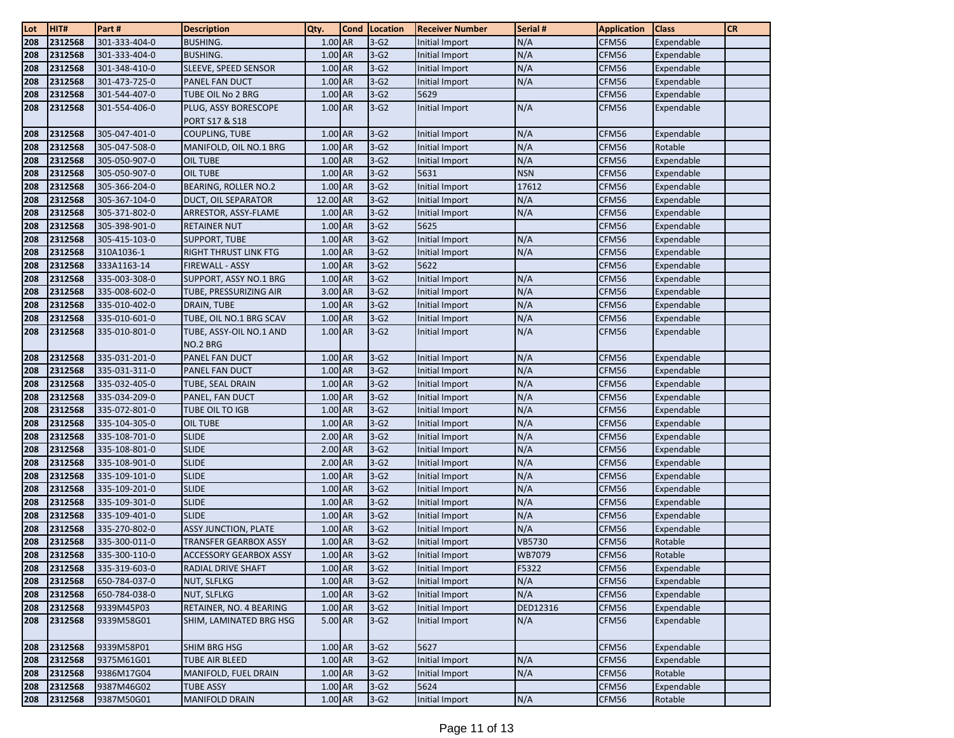| Lot | HIT#    | Part #        | <b>Description</b>                  | Qty.      | <b>Cond</b> | Location | <b>Receiver Number</b> | Serial #   | <b>Application</b> | <b>Class</b> | <b>CR</b> |
|-----|---------|---------------|-------------------------------------|-----------|-------------|----------|------------------------|------------|--------------------|--------------|-----------|
| 208 | 2312568 | 301-333-404-0 | <b>BUSHING.</b>                     | 1.00 AR   |             | $3-G2$   | Initial Import         | N/A        | CFM56              | Expendable   |           |
| 208 | 2312568 | 301-333-404-0 | <b>BUSHING.</b>                     | $1.00$ AR |             | $3-G2$   | Initial Import         | N/A        | CFM56              | Expendable   |           |
| 208 | 2312568 | 301-348-410-0 | SLEEVE, SPEED SENSOR                | 1.00 AR   |             | $3-G2$   | Initial Import         | N/A        | CFM56              | Expendable   |           |
| 208 | 2312568 | 301-473-725-0 | PANEL FAN DUCT                      | 1.00 AR   |             | $3-G2$   | Initial Import         | N/A        | CFM56              | Expendable   |           |
| 208 | 2312568 | 301-544-407-0 | TUBE OIL No 2 BRG                   | 1.00 AR   |             | $3-G2$   | 5629                   |            | CFM56              | Expendable   |           |
| 208 | 2312568 | 301-554-406-0 | PLUG, ASSY BORESCOPE                | 1.00 AR   |             | $3-G2$   | Initial Import         | N/A        | CFM56              | Expendable   |           |
|     |         |               | PORT S17 & S18                      |           |             |          |                        |            |                    |              |           |
| 208 | 2312568 | 305-047-401-0 | <b>COUPLING, TUBE</b>               | 1.00 AR   |             | $3-G2$   | Initial Import         | N/A        | CFM56              | Expendable   |           |
| 208 | 2312568 | 305-047-508-0 | MANIFOLD, OIL NO.1 BRG              | 1.00 AR   |             | $3-G2$   | Initial Import         | N/A        | CFM56              | Rotable      |           |
| 208 | 2312568 | 305-050-907-0 | OIL TUBE                            | 1.00 AR   |             | $3-G2$   | Initial Import         | N/A        | CFM56              | Expendable   |           |
| 208 | 2312568 | 305-050-907-0 | <b>OIL TUBE</b>                     | 1.00 AR   |             | $3-G2$   | 5631                   | <b>NSN</b> | CFM56              | Expendable   |           |
| 208 | 2312568 | 305-366-204-0 | BEARING, ROLLER NO.2                | 1.00 AR   |             | $3-G2$   | Initial Import         | 17612      | CFM56              | Expendable   |           |
| 208 | 2312568 | 305-367-104-0 | <b>DUCT, OIL SEPARATOR</b>          | 12.00 AR  |             | $3-G2$   | Initial Import         | N/A        | CFM56              | Expendable   |           |
| 208 | 2312568 | 305-371-802-0 | ARRESTOR, ASSY-FLAME                | 1.00 AR   |             | $3-G2$   | Initial Import         | N/A        | CFM56              | Expendable   |           |
| 208 | 2312568 | 305-398-901-0 | <b>RETAINER NUT</b>                 | 1.00 AR   |             | $3-G2$   | 5625                   |            | CFM56              | Expendable   |           |
| 208 | 2312568 | 305-415-103-0 | SUPPORT, TUBE                       | $1.00$ AR |             | $3-G2$   | Initial Import         | N/A        | CFM56              | Expendable   |           |
| 208 | 2312568 | 310A1036-1    | <b>RIGHT THRUST LINK FTG</b>        | 1.00 AR   |             | $3-G2$   | Initial Import         | N/A        | CFM56              | Expendable   |           |
| 208 | 2312568 | 333A1163-14   | FIREWALL - ASSY                     | 1.00 AR   |             | $3-G2$   | 5622                   |            | CFM56              | Expendable   |           |
| 208 | 2312568 | 335-003-308-0 | SUPPORT, ASSY NO.1 BRG              | 1.00 AR   |             | $3-G2$   | Initial Import         | N/A        | CFM56              | Expendable   |           |
| 208 | 2312568 | 335-008-602-0 | TUBE, PRESSURIZING AIR              | 3.00 AR   |             | $3-G2$   | Initial Import         | N/A        | CFM56              | Expendable   |           |
| 208 | 2312568 | 335-010-402-0 | DRAIN, TUBE                         | 1.00 AR   |             | $3-G2$   | Initial Import         | N/A        | CFM56              | Expendable   |           |
| 208 | 2312568 | 335-010-601-0 | TUBE, OIL NO.1 BRG SCAV             | 1.00 AR   |             | $3-G2$   | Initial Import         | N/A        | CFM56              | Expendable   |           |
| 208 | 2312568 | 335-010-801-0 | TUBE, ASSY-OIL NO.1 AND<br>NO.2 BRG | $1.00$ AR |             | $3-G2$   | <b>Initial Import</b>  | N/A        | CFM56              | Expendable   |           |
| 208 | 2312568 | 335-031-201-0 | PANEL FAN DUCT                      | 1.00 AR   |             | $3-G2$   | Initial Import         | N/A        | CFM56              | Expendable   |           |
| 208 | 2312568 | 335-031-311-0 | PANEL FAN DUCT                      | 1.00 AR   |             | $3-G2$   | Initial Import         | N/A        | CFM56              | Expendable   |           |
| 208 | 2312568 | 335-032-405-0 | TUBE, SEAL DRAIN                    | $1.00$ AR |             | $3-G2$   | Initial Import         | N/A        | CFM56              | Expendable   |           |
| 208 | 2312568 | 335-034-209-0 | PANEL, FAN DUCT                     | 1.00 AR   |             | $3-G2$   | Initial Import         | N/A        | CFM56              | Expendable   |           |
| 208 | 2312568 | 335-072-801-0 | TUBE OIL TO IGB                     | 1.00 AR   |             | $3-G2$   | Initial Import         | N/A        | CFM56              | Expendable   |           |
| 208 | 2312568 | 335-104-305-0 | <b>OIL TUBE</b>                     | 1.00 AR   |             | $3-G2$   | Initial Import         | N/A        | CFM56              | Expendable   |           |
| 208 | 2312568 | 335-108-701-0 | <b>SLIDE</b>                        | 2.00 AR   |             | $3-G2$   | Initial Import         | N/A        | CFM56              | Expendable   |           |
| 208 | 2312568 | 335-108-801-0 | <b>SLIDE</b>                        | 2.00 AR   |             | $3-G2$   | Initial Import         | N/A        | CFM56              | Expendable   |           |
| 208 | 2312568 | 335-108-901-0 | <b>SLIDE</b>                        | 2.00 AR   |             | $3-G2$   | Initial Import         | N/A        | CFM56              | Expendable   |           |
| 208 | 2312568 | 335-109-101-0 | <b>SLIDE</b>                        | 1.00 AR   |             | $3-G2$   | Initial Import         | N/A        | CFM56              | Expendable   |           |
| 208 | 2312568 | 335-109-201-0 | <b>SLIDE</b>                        | 1.00 AR   |             | $3-G2$   | Initial Import         | N/A        | CFM56              | Expendable   |           |
| 208 | 2312568 | 335-109-301-0 | <b>SLIDE</b>                        | 1.00 AR   |             | $3-G2$   | Initial Import         | N/A        | CFM56              | Expendable   |           |
| 208 | 2312568 | 335-109-401-0 | <b>SLIDE</b>                        | 1.00 AR   |             | $3-G2$   | Initial Import         | N/A        | CFM56              | Expendable   |           |
| 208 | 2312568 | 335-270-802-0 | <b>ASSY JUNCTION, PLATE</b>         | $1.00$ AR |             | $3-G2$   | Initial Import         | N/A        | CFM56              | Expendable   |           |
| 208 | 2312568 | 335-300-011-0 | TRANSFER GEARBOX ASSY               | 1.00 AR   |             | $3-G2$   | Initial Import         | VB5730     | CFM56              | Rotable      |           |
| 208 | 2312568 | 335-300-110-0 | ACCESSORY GEARBOX ASSY              | 1.00 AR   |             | $3-G2$   | Initial Import         | WB7079     | CFM56              | Rotable      |           |
| 208 | 2312568 | 335-319-603-0 | <b>RADIAL DRIVE SHAFT</b>           | $1.00$ AR |             | $3-G2$   | Initial Import         | F5322      | CFM56              | Expendable   |           |
| 208 | 2312568 | 650-784-037-0 | <b>NUT, SLFLKG</b>                  | 1.00 AR   |             | $3-G2$   | Initial Import         | N/A        | CFM56              | Expendable   |           |
| 208 | 2312568 | 650-784-038-0 | NUT, SLFLKG                         | 1.00 AR   |             | $3-G2$   | Initial Import         | N/A        | CFM56              | Expendable   |           |
| 208 | 2312568 | 9339M45P03    | RETAINER, NO. 4 BEARING             | 1.00 AR   |             | $3-G2$   | Initial Import         | DED12316   | CFM56              | Expendable   |           |
| 208 | 2312568 | 9339M58G01    | SHIM, LAMINATED BRG HSG             | 5.00 AR   |             | $3-G2$   | Initial Import         | N/A        | CFM56              | Expendable   |           |
| 208 | 2312568 | 9339M58P01    | <b>SHIM BRG HSG</b>                 | 1.00 AR   |             | $3-G2$   | 5627                   |            | CFM56              | Expendable   |           |
| 208 | 2312568 | 9375M61G01    | <b>TUBE AIR BLEED</b>               | 1.00 AR   |             | $3-G2$   | Initial Import         | N/A        | CFM56              | Expendable   |           |
| 208 | 2312568 | 9386M17G04    | MANIFOLD, FUEL DRAIN                | 1.00 AR   |             | $3-G2$   | Initial Import         | N/A        | CFM56              | Rotable      |           |
| 208 | 2312568 | 9387M46G02    | <b>TUBE ASSY</b>                    | 1.00 AR   |             | $3-G2$   | 5624                   |            | CFM56              | Expendable   |           |
| 208 | 2312568 | 9387M50G01    | <b>MANIFOLD DRAIN</b>               | $1.00$ AR |             | $3-G2$   | Initial Import         | N/A        | CFM56              | Rotable      |           |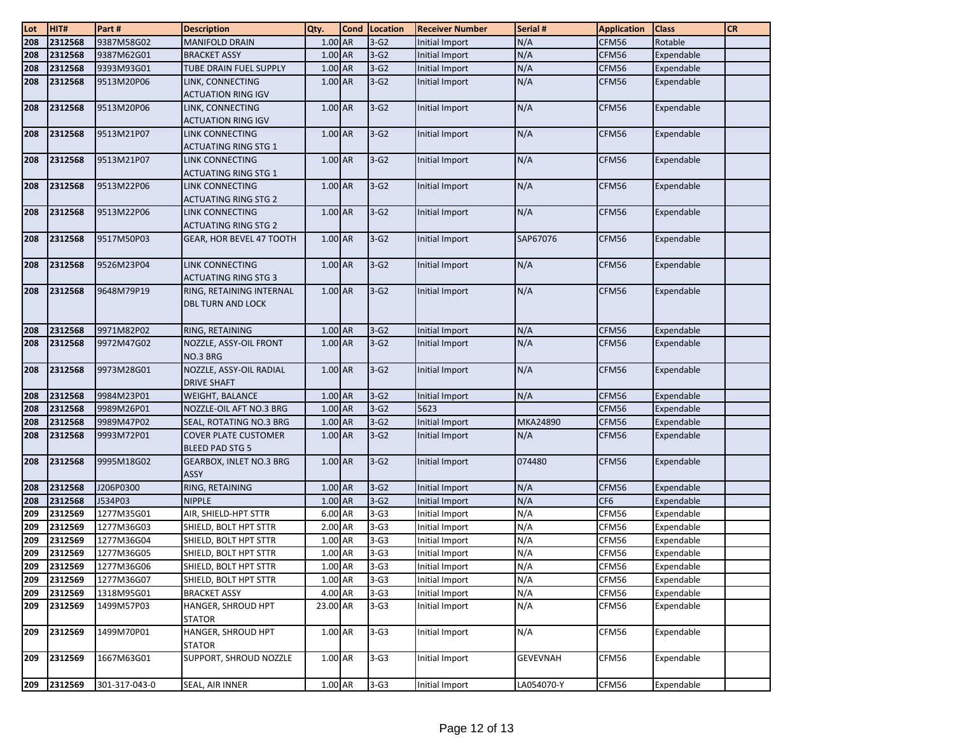| Lot              | HIT#               | Part#                    | <b>Description</b>                                     | Qty.               | <b>Cond</b> | Location         | <b>Receiver Number</b>           | Serial #   | <b>Application</b> | <b>Class</b>             | <b>CR</b> |
|------------------|--------------------|--------------------------|--------------------------------------------------------|--------------------|-------------|------------------|----------------------------------|------------|--------------------|--------------------------|-----------|
| 208              | 2312568            | 9387M58G02               | <b>MANIFOLD DRAIN</b>                                  | 1.00 AR            |             | $3-G2$           | Initial Import                   | N/A        | CFM56              | Rotable                  |           |
| 208              | 2312568            | 9387M62G01               | <b>BRACKET ASSY</b>                                    | $1.00$ AR          |             | $3-G2$           | Initial Import                   | N/A        | CFM56              | Expendable               |           |
| 208              | 2312568            | 9393M93G01               | TUBE DRAIN FUEL SUPPLY                                 | 1.00 AR            |             | $3-G2$           | Initial Import                   | N/A        | CFM56              | Expendable               |           |
| 208              | 2312568            | 9513M20P06               | LINK, CONNECTING                                       | 1.00 AR            |             | $3-G2$           | Initial Import                   | N/A        | CFM56              | Expendable               |           |
|                  |                    |                          | <b>ACTUATION RING IGV</b>                              |                    |             |                  |                                  |            |                    |                          |           |
| 208              | 2312568            | 9513M20P06               | LINK, CONNECTING                                       | $1.00$ AR          |             | $3-G2$           | Initial Import                   | N/A        | CFM56              | Expendable               |           |
|                  |                    |                          | <b>ACTUATION RING IGV</b>                              |                    |             |                  |                                  |            |                    |                          |           |
| 208              | 2312568            | 9513M21P07               | <b>LINK CONNECTING</b>                                 | 1.00 AR            |             | $3-G2$           | Initial Import                   | N/A        | CFM56              | Expendable               |           |
|                  |                    |                          | <b>ACTUATING RING STG 1</b>                            |                    |             |                  |                                  |            |                    |                          |           |
| 208              | 2312568            | 9513M21P07               | LINK CONNECTING                                        | 1.00 AR            |             | $3-G2$           | Initial Import                   | N/A        | CFM56              | Expendable               |           |
|                  |                    |                          | <b>ACTUATING RING STG 1</b>                            |                    |             |                  |                                  |            |                    |                          |           |
| 208              | 2312568            | 9513M22P06               | <b>LINK CONNECTING</b>                                 | 1.00 AR            |             | $3-G2$           | Initial Import                   | N/A        | CFM56              | Expendable               |           |
| 208              | 2312568            | 9513M22P06               | <b>ACTUATING RING STG 2</b><br>LINK CONNECTING         | 1.00 AR            |             | $3-G2$           | Initial Import                   | N/A        | CFM56              | Expendable               |           |
|                  |                    |                          | <b>ACTUATING RING STG 2</b>                            |                    |             |                  |                                  |            |                    |                          |           |
| 208              | 2312568            | 9517M50P03               | GEAR, HOR BEVEL 47 TOOTH                               | 1.00 AR            |             | $3-G2$           | Initial Import                   | SAP67076   | CFM56              | Expendable               |           |
|                  |                    |                          |                                                        |                    |             |                  |                                  |            |                    |                          |           |
| 208              | 2312568            | 9526M23P04               | LINK CONNECTING                                        | 1.00 AR            |             | $3-G2$           | Initial Import                   | N/A        | CFM56              | Expendable               |           |
|                  |                    |                          | <b>ACTUATING RING STG 3</b>                            |                    |             |                  |                                  |            |                    |                          |           |
| 208              | 2312568            | 9648M79P19               | RING, RETAINING INTERNAL                               | 1.00 AR            |             | $3-G2$           | Initial Import                   | N/A        | CFM56              | Expendable               |           |
|                  |                    |                          | <b>DBL TURN AND LOCK</b>                               |                    |             |                  |                                  |            |                    |                          |           |
|                  |                    |                          |                                                        |                    |             |                  |                                  |            |                    |                          |           |
| 208              | 2312568            | 9971M82P02               | RING, RETAINING                                        | 1.00 AR            |             | $3-G2$           | Initial Import                   | N/A        | CFM56              | Expendable               |           |
| 208              | 2312568            | 9972M47G02               | NOZZLE, ASSY-OIL FRONT                                 | 1.00 AR            |             | $3-G2$           | Initial Import                   | N/A        | CFM56              | Expendable               |           |
|                  |                    |                          | NO.3 BRG                                               |                    |             |                  |                                  |            |                    |                          |           |
| 208              | 2312568            | 9973M28G01               | NOZZLE, ASSY-OIL RADIAL                                | 1.00 AR            |             | $3-G2$           | Initial Import                   | N/A        | CFM56              | Expendable               |           |
|                  |                    |                          | <b>DRIVE SHAFT</b>                                     |                    |             |                  |                                  |            |                    |                          |           |
| 208              | 2312568            | 9984M23P01               | <b>WEIGHT, BALANCE</b>                                 | 1.00 AR            |             | $3-G2$           | Initial Import                   | N/A        | CFM56              | Expendable               |           |
| 208<br>208       | 2312568<br>2312568 | 9989M26P01<br>9989M47P02 | NOZZLE-OIL AFT NO.3 BRG                                | 1.00 AR<br>1.00 AR |             | $3-G2$<br>$3-G2$ | 5623                             | MKA24890   | CFM56<br>CFM56     | Expendable               |           |
| 208              | 2312568            | 9993M72P01               | SEAL, ROTATING NO.3 BRG<br><b>COVER PLATE CUSTOMER</b> | 1.00 AR            |             | $3-G2$           | Initial Import<br>Initial Import | N/A        | CFM56              | Expendable<br>Expendable |           |
|                  |                    |                          | <b>BLEED PAD STG 5</b>                                 |                    |             |                  |                                  |            |                    |                          |           |
| 208              | 2312568            | 9995M18G02               | GEARBOX, INLET NO.3 BRG                                | 1.00 AR            |             | $3-G2$           | Initial Import                   | 074480     | CFM56              | Expendable               |           |
|                  |                    |                          | ASSY                                                   |                    |             |                  |                                  |            |                    |                          |           |
| 208              | 2312568            | J206P0300                | RING, RETAINING                                        | 1.00 AR            |             | $3-G2$           | Initial Import                   | N/A        | CFM56              | Expendable               |           |
| 208              | 2312568            | J534P03                  | <b>NIPPLE</b>                                          | 1.00 AR            |             | $3-G2$           | Initial Import                   | N/A        | CF <sub>6</sub>    | Expendable               |           |
| 209              | 2312569            | 1277M35G01               | AIR, SHIELD-HPT STTR                                   | 6.00 AR            |             | $3-G3$           | Initial Import                   | N/A        | CFM56              | Expendable               |           |
| 209              | 2312569            | 1277M36G03               | SHIELD, BOLT HPT STTR                                  | 2.00 AR            |             | $3-G3$           | Initial Import                   | N/A        | CFM56              | Expendable               |           |
| 209              | 2312569            | 1277M36G04               | SHIELD, BOLT HPT STTR                                  | 1.00 AR            |             | $3-G3$           | Initial Import                   | N/A        | CFM56              | Expendable               |           |
| $\overline{209}$ | 2312569            | 1277M36G05               | SHIELD, BOLT HPT STTR                                  | 1.00 AR            |             | $3-G3$           | Initial Import                   | N/A        | CFM56              | Expendable               |           |
| 209              | 2312569            | 1277M36G06               | SHIELD, BOLT HPT STTR                                  | 1.00 AR            |             | $3-G3$           | Initial Import                   | N/A        | CFM56              | Expendable               |           |
| 209              | 2312569            | 1277M36G07               | SHIELD, BOLT HPT STTR                                  | 1.00 AR            |             | $3-G3$           | Initial Import                   | N/A        | CFM56              | Expendable               |           |
| 209              | 2312569            | 1318M95G01               | <b>BRACKET ASSY</b>                                    | 4.00 AR            |             | $3-G3$           | Initial Import                   | N/A        | CFM56              | Expendable               |           |
| 209              | 2312569            | 1499M57P03               | HANGER, SHROUD HPT                                     | 23.00 AR           |             | $3-G3$           | Initial Import                   | N/A        | CFM56              | Expendable               |           |
|                  |                    |                          | <b>STATOR</b>                                          |                    |             |                  |                                  |            |                    |                          |           |
| 209              | 2312569            | 1499M70P01               | HANGER, SHROUD HPT                                     | 1.00 AR            |             | $3-G3$           | Initial Import                   | N/A        | CFM56              | Expendable               |           |
|                  |                    |                          | <b>STATOR</b>                                          |                    |             |                  |                                  |            |                    |                          |           |
| 209              | 2312569            | 1667M63G01               | SUPPORT, SHROUD NOZZLE                                 | 1.00 AR            |             | $3-G3$           | Initial Import                   | GEVEVNAH   | CFM56              | Expendable               |           |
| 209              | 2312569            | 301-317-043-0            | SEAL, AIR INNER                                        | 1.00 AR            |             | $3-G3$           | Initial Import                   | LA054070-Y | CFM56              | Expendable               |           |
|                  |                    |                          |                                                        |                    |             |                  |                                  |            |                    |                          |           |